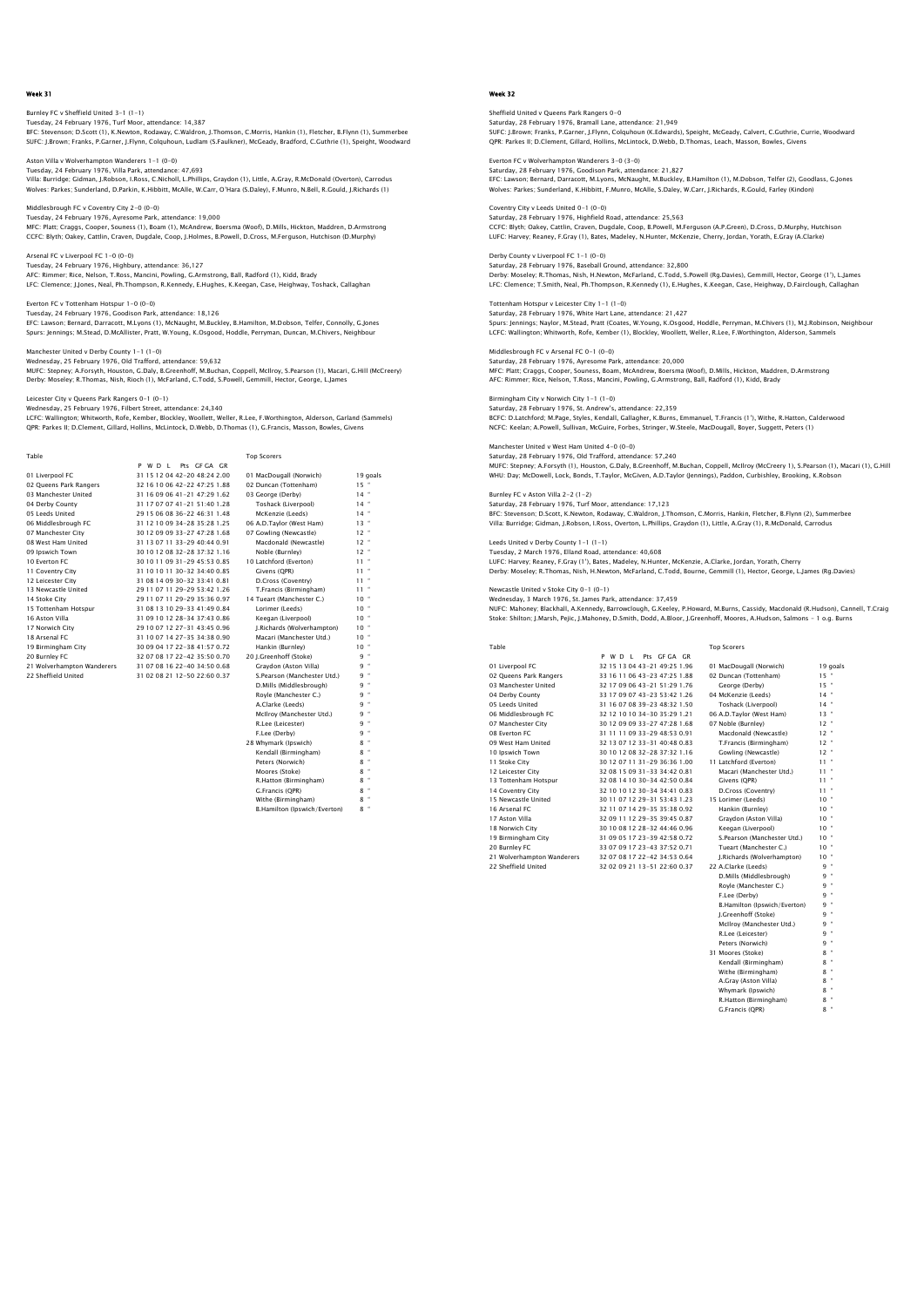# Burnley FC v Sheffield United 3–1 (1–1)<br>Tuesday, 24 February 1976, Turf Moor, attendance: 14,387<br>BFC: Stevenson; D.Scott (1), K.Newton, Rodaway, C.Waldron, J.Thomson, C.Morris, Hankin (1), Fletcher, B.Flynn (1), Summerbee

SUFC: J.Brown; Franks, P.Garner, J.Flynn, Colquhoun, Ludlam (S.Faulkner), McGeady, Bradford, C.Guthrie (1), Speight, Woodward

Aston Villa v Wolverhampton Wanderers 1-1 (0-0) Tuesday, 24 February 1976, Villa Park, attendance: 47,693 Villa: Burridge; Gidman, J.Robson, I.Ross, C.Nicholl, L.Phillips, Graydon (1), Little, A.Gray, R.McDonald (Overton), Carrodus Wolves: Parkes; Sunderland, D.Parkin, K.Hibbitt, McAlle, W.Carr, O'Hara (S.Daley), F.Munro, N.Bell, R.Gould, J.Richards (1)

Middlesbrough FC v Coventry City 2-0 (0-0) Tuesday, 24 February 1976, Ayresome Park, attendance: 19,000 MFC: Platt; Craggs, Cooper, Souness (1), Boam (1), McAndrew, Boersma (Woof), D.Mills, Hickton, Maddren, D.Armstrong<br>CCFC: Blyth; Oakey, Cattlin, Craven, Dugdale, Coop, J.Holmes, B.Powell, D.Cross, M.Ferguson, Hutchison (D.

Arsenal FC v Liverpool FC 1-0 (0-0) Tuesday, 24 February 1976, Highbury, attendance: 36,127 AFC: Rimmer; Rice, Nelson, T.Ross, Mancini, Powling, G.Armstrong, Ball, Radford (1), Kidd, Brady LFC: Clemence; J.Jones, Neal, Ph.Thompson, R.Kennedy, E.Hughes, K.Keegan, Case, Heighway, Toshack, Callaghan

Everton FC v Tottenham Hotspur 1-0 (0-0) Tuesday, 24 February 1976, Goodison Park, attendance: 18,126 EFC: Lawson; Bernard, Darracott, M.Lyons (1), McNaught, M.Buckley, B.Hamilton, M.Dobson, Telfer, Connolly, G.Jones Spurs: Jennings; M.Stead, D.McAllister, Pratt, W.Young, K.Osgood, Hoddle, Perryman, Duncan, M.Chivers, Neighbour

## Manchester United v Derby County 1-1 (1-0)

Wednesday, 25 February 1976, Old Trafford, attendance: 59,632 MUFC: Stepney; A.Forsyth, Houston, G.Daly, B.Greenhoff, M.Buchan, Coppell, McIlroy, S.Pearson (1), Macari, G.Hill (McCreery) Derby: Moseley; R.Thomas, Nish, Rioch (1), McFarland, C.Todd, S.Powell, Gemmill, Hector, George, L.James

## Leicester City v Queens Park Rangers 0-1 (0-1)

Wednesday, 25 February 1976, Filbert Street, attendance: 24,340<br>LCFC: Wallington; Whitworth, Rofe, Kember, Blockley, Woollett, Weller, R.Lee, F.Worthington, Alderson, Garland (Sammels)<br>QPR: Parkes II; D.Clement, Gillard, H

| Table                      |                                | <b>Top Scorers</b>          |                 |
|----------------------------|--------------------------------|-----------------------------|-----------------|
|                            | Pts GEGA GR<br>PWDI            |                             |                 |
| 01 Liverpool FC            | 31 15 12 04 42-20 48:24 2.00   | 01 MacDougall (Norwich)     | 19 goals        |
| 02 Queens Park Rangers     | 32 16 10 06 42-22 47:25 1.88   | 02 Duncan (Tottenham)       | $15 -$          |
| 03 Manchester United       | 31 16 09 06 41 - 21 47:29 1.62 | 03 George (Derby)           | $14 -$          |
| 04 Derby County            | 31 17 07 07 41 - 21 51:40 1.28 | Toshack (Liverpool)         | $14 -$          |
| 05 Leeds United            | 29 15 06 08 36-22 46:31 1.48   | McKenzie (Leeds)            | $14 -$          |
| 06 Middlesbrough FC        | 31 12 10 09 34-28 35:28 1.25   | 06 A.D.Taylor (West Ham)    | $13 -$          |
| 07 Manchester City         | 30 12 09 09 33-27 47:28 1.68   | 07 Gowling (Newcastle)      | $12 -$          |
| 08 West Ham United         | 31 13 07 11 33-29 40:44 0.91   | Macdonald (Newcastle)       | $12 -$          |
| 09 Ipswich Town            | 30 10 12 08 32-28 37:32 1.16   | Noble (Burnley)             | $12 -$          |
| 10 Everton FC              | 30 10 11 09 31 - 29 45 53 0.85 | 10 Latchford (Everton)      | $11 -$          |
| 11 Coventry City           | 31 10 10 11 30-32 34:40 0.85   | Givens (OPR)                | $11 -$          |
| 12 Leicester City          | 31 08 14 09 30-32 33:41 0.81   | D.Cross (Coventry)          | $11 -$          |
| 13 Newcastle United        | 29 11 07 11 29-29 53:42 1.26   | T.Francis (Birmingham)      | $11 -$          |
| 14 Stoke City              | 29 11 07 11 29-29 35:36 0.97   | 14 Tueart (Manchester C.)   | 10 <sup>4</sup> |
| 15 Tottenham Hotspur       | 31 08 13 10 29-33 41:49 0.84   | Lorimer (Leeds)             | $10^{-4}$       |
| 16 Aston Villa             | 31 09 10 12 28-34 37:43 0.86   | Keegan (Liverpool)          | $10 -$          |
| 17 Norwich City            | 29 10 07 12 27-31 43:45 0.96   | I.Richards (Wolverhampton)  | $10^{-4}$       |
| 18 Arsenal FC              | 31 10 07 14 27-35 34 38 0.90   | Macari (Manchester Utd.)    | $10^{-4}$       |
| 19 Birmingham City         | 30 09 04 17 22-38 41:57 0.72   | Hankin (Burnley)            | $10 -$          |
| 20 Burnley FC              | 32 07 08 17 22-42 35:50 0.70   | 20 I.Greenhoff (Stoke)      | $9 -$           |
| 21 Wolverhampton Wanderers | 31 07 08 16 22-40 34:50 0.68   | Gravdon (Aston Villa)       | $q -$           |
| 22 Sheffield United        | 31 02 08 21 12-50 22:60 0.37   | S.Pearson (Manchester Utd.) | $9 -$           |
|                            |                                | D.Mills (Middlesbrough)     | $9 -$           |
|                            |                                | Rovle (Manchester C.)       | $9 -$           |
|                            |                                | A.Clarke (Leeds)            | $9 -$           |
|                            |                                | McIlroy (Manchester Utd.)   | $9 -$           |
|                            |                                | R.Lee (Leicester)           | $9 -$           |
|                            |                                | F.Lee (Derby)               | $9 -$           |
|                            |                                | 28 Whymark (Ipswich)        | $8 -$           |
|                            |                                | Kendall (Birmingham)        | $8 -$           |
|                            |                                | Peters (Norwich)            | $8 -$           |

 Kendall (Birmingham) 8 " Peters (Norwich) 8 " Moores (Stoke) 8 " R.Hatton (Birmingham) G.Francis (OPR)

Withe (Birmingham) 8 °<br>B. Hamilton (Inswich/Everton) 8 ° B.Hamilton (Ipswich/Everton)

Week 32

# Sheffield United v Queens Park Rangers 0-0

Saturday, 28 February 1976, Bramall Lane, attendance: 21,949 SUFC: J.Brown; Franks, P.Garner, J.Flynn, Colquhoun (K.Edwards), Speight, McGeady, Calvert, C.Guthrie, Currie, Woodward QPR: Parkes II; D.Clement, Gillard, Hollins, McLintock, D.Webb, D.Thomas, Leach, Masson, Bowles, Givens

Everton FC v Wolverhampton Wanderers 3–0 (3–0)<br>Saturday, 28 February 1976, Goodison Park, attendance: 21,827<br>EFC: Lawson; Bernard, Darracott, M.Lyons, McNaught, M.Buckley, B.Hamilton (1), M.Dobson, Telfer (2), Goodlass, G. Wolves: Parkes; Sunderland, K.Hibbitt, F.Munro, McAlle, S.Daley, W.Carr, J.Richards, R.Gould, Farley (Kindon)

Coventry City v Leeds United 0-1 (0-0) Saturday, 28 February 1976, Highfield Road, attendance: 25,563 CCFC: Blyth; Oakey, Cattlin, Craven, Dugdale, Coop, B.Powell, M.Ferguson (A.P.Green), D.Cross, D.Murphy, Hutchison LUFC: Harvey; Reaney, F.Gray (1), Bates, Madeley, N.Hunter, McKenzie, Cherry, Jordan, Yorath, E.Gray (A.Clarke)

## Derby County v Liverpool FC 1-1 (0-0) Saturday, 28 February 1976, Baseball Ground, attendance: 32,800

Derby: Moseley; R.Thomas, Nish, H.Newton, McFarland, C.Todd, S.Powell (Rg.Davies), Gemmill, Hector, George (1'), L.James LFC: Clemence; T.Smith, Neal, Ph.Thompson, R.Kennedy (1), E.Hughes, K.Keegan, Case, Heighway, D.Fairclough, Callaghan

Tottenham Hotspur v Leicester City 1-1 (1-0) Saturday, 28 February 1976, White Hart Lane, attendance: 21,427 Spurs: Jennings; Naylor, M.Stead, Pratt (Coates, W.Young, K.Osgood, Hoddle, Perryman, M.Chivers (1), M.J.Robinson, Neighbour LCFC: Wallington; Whitworth, Rofe, Kember (1), Blockley, Woollett, Weller, R.Lee, F.Worthington, Alderson, Sammels Middlesbrough FC v Arsenal FC 0-1 (0-0)

Saturday, 28 February 1976, Ayresome Park, attendance: 20,000 MFC: Platt; Craggs, Cooper, Souness, Boam, McAndrew, Boersma (Woof), D.Mills, Hickton, Maddren, D.Armstrong AFC: Rimmer; Rice, Nelson, T.Ross, Mancini, Powling, G.Armstrong, Ball, Radford (1), Kidd, Brady

# Birmingham City v Norwich City 1-1 (1-0)

Saturday, 28 February 1976, St. Andrew's, attendance: 22,359 BCFC: D.Latchford; M.Page, Styles, Kendall, Gallagher, K.Burns, Emmanuel, T.Francis (1'), Withe, R.Hatton, Calderwood NCFC: Keelan; A.Powell, Sullivan, McGuire, Forbes, Stringer, W.Steele, MacDougall, Boyer, Suggett, Peters (1)

## Manchester United v West Ham United 4-0 (0-0)

Saturday, 28 February 1976, Old Trafford, attendance: 57,240<br>MUFC: Stepney: A.Forsyth (1), Houston, G.Daly, B.Greenhoff, M.Buchan, Coppell, McIlroy (McCreery 1), S.Pearson (1), Macari (1), G.Hil<br>WHU: Day; McDowell, Lock, B

## Burnley FC v Aston Villa 2-2 (1-2)

Saturday, 28 February 1976, Turf Moor, attendance: 17,123 BFC: Stevenson; D.Scott, K.Newton, Rodaway, C.Waldron, J.Thomson, C.Morris, Hankin, Fletcher, B.Flynn (2), Summerbee<br>Villa: Burridge; Gidman, J.Robson, I.Ross, Overton, L.Phillips, Graydon (1), Little, A.Gray (1), R.McDona

## Leeds United v Derby County 1-1 (1-1) Tuesday, 2 March 1976, Elland Road, attendance: 40,608

LUFC: Harvey; Reaney, F.Gray (1'), Bates, Madeley, N.Hunter, McKenzie, A.Clarke, Jordan, Yorath, Cherry Derby: Moseley; R.Thomas, Nish, H.Newton, McFarland, C.Todd, Bourne, Gemmill (1), Hector, George, L.James (Rg.Davies)

## Newcastle United v Stoke City 0-1 (0-1)

Wednesday, 3 March 1976, St. James Park, attendance: 37,459<br>NUFC: Mahoney, Blackhall, A.Kennedy, Barrowclough, G.Keeley, P.Howard, M.Burns, Cassidy, Macdonald (R.Hudson), Cannell, T.Craig<br>Stoke: Shilton; J.Marsh, Pejic, J.

| Table                      |                                | <b>Top Scorers</b>            |           |
|----------------------------|--------------------------------|-------------------------------|-----------|
|                            | P W D I<br>Pts GE GA GR        |                               |           |
| 01 Liverpool FC            | 32 15 13 04 43-21 49:25 1.96   | 01 MacDougall (Norwich)       | 19 goals  |
| 02 Oueens Park Rangers     | 33 16 11 06 43-23 47:25 1.88   | 02 Duncan (Tottenham)         | $15 -$    |
| 03 Manchester United       | 32 17 09 06 43-21 51:29 1.76   | George (Derby)                | $15 -$    |
| 04 Derby County            | 33 17 09 07 43-23 53:42 1.26   | 04 McKenzie (Leeds)           | $14 -$    |
| 05 Leeds United            | 31 16 07 08 39-23 48:32 1.50   | Toshack (Liverpool)           | $14 -$    |
| 06 Middlesbrough FC        | 32 12 10 10 34-30 35:29 1.21   | 06 A.D.Taylor (West Ham)      | $13 -$    |
| 07 Manchester City         | 30 12 09 09 33-27 47:28 1.68   | 07 Noble (Burnley)            | $12 -$    |
| 08 Everton EC              | 31 11 11 09 33-29 48:53 0.91   | Macdonald (Newcastle)         | $12 -$    |
| 09 West Ham United         | 32 13 07 12 33-31 40:48 0.83   | T.Francis (Birmingham)        | $12 -$    |
| 10 Ipswich Town            | 30 10 12 08 32-28 37:32 1.16   | Gowling (Newcastle)           | $12 -$    |
| 11 Stoke City              | 30 12 07 11 31-29 36:36 1.00   | 11 Latchford (Everton)        | $11 -$    |
| 12 Leicester City          | 32 08 15 09 31 - 33 34:42 0.81 | Macari (Manchester Utd.)      | $11 -$    |
| 13 Tottenham Hotspur       | 32 08 14 10 30-34 42:50 0.84   | Givens (OPR)                  | $11 -$    |
| 14 Coventry City           | 32 10 10 12 30-34 34:41 0.83   | D.Cross (Coventry)            | $11 -$    |
| 15 Newcastle United        | 30 11 07 12 29-31 53:43 1.23   | 15 Lorimer (Leeds)            | $10^{-4}$ |
| 16 Arsenal FC              | 32 11 07 14 29-35 35:38 0.92   | Hankin (Burnley)              | $10^{-4}$ |
| 17 Aston Villa             | 32 09 11 12 29-35 39:45 0.87   | Gravdon (Aston Villa)         | $10 -$    |
| 18 Norwich City            | 30 10 08 12 28-32 44:46 0.96   | Keegan (Liverpool)            | $10^{-4}$ |
| 19 Birmingham City         | 31 09 05 17 23-39 42:58 0.72   | S.Pearson (Manchester Utd.)   | $10^{-4}$ |
| 20 Burnley FC              | 33 07 09 17 23-43 37:52 0.71   | Tueart (Manchester C.)        | $10^{-4}$ |
| 21 Wolverhampton Wanderers | 32 07 08 17 22-42 34:53 0.64   | I.Richards (Wolverhampton)    | $10^{-4}$ |
| 22 Sheffield United        | 32 02 09 21 13-51 22:60 0.37   | 22 A.Clarke (Leeds)           | $9 -$     |
|                            |                                | D.Mills (Middlesbrough)       | $9 -$     |
|                            |                                | Rovie (Manchester C.)         | $9 -$     |
|                            |                                | F.Lee (Derby)                 | q =       |
|                            |                                | B. Hamilton (Ipswich/Everton) | 9         |

| Gowling (Newcastle)          | 12 <sup>1</sup> |
|------------------------------|-----------------|
| 11 Latchford (Everton)       | ł<br>11         |
| Macari (Manchester Utd.)     | ł<br>11         |
| Givens (OPR)                 | ł<br>11         |
| D.Cross (Coventry)           | ł<br>11         |
| 15 Lorimer (Leeds)           | ł<br>10         |
| Hankin (Burnley)             | ł<br>10         |
| Gravdon (Aston Villa)        | ł<br>10         |
| Keegan (Liverpool)           | ł<br>10         |
| S.Pearson (Manchester Utd.)  | ł<br>10         |
| Tueart (Manchester C.)       | ł<br>10         |
| J.Richards (Wolverhampton)   | f<br>10         |
| 22 A.Clarke (Leeds)          | f<br>9          |
| D.Mills (Middlesbrough)      | 9               |
| Rovle (Manchester C.)        | 9.              |
| F.Lee (Derby)                | 9.              |
| B.Hamilton (Ipswich/Everton) | 9.              |
| I.Greenhoff (Stoke)          | 9.              |
| McIlrov (Manchester Utd.)    | 9.              |
| R.Lee (Leicester)            | 9.              |
| Peters (Norwich)             | 9.              |
| 31 Moores (Stoke)            | f<br>8.         |
| Kendall (Birmingham)         | f<br>8          |
| Withe (Birmingham)           | ł<br>8          |
|                              |                 |

A.Gray (Aston Villa) 8 <sup>"</sup><br>Whymark (Ipswich) 8 " Whymark (Ipswich) R.Hatton (Birmingham) G.Francis (QPR)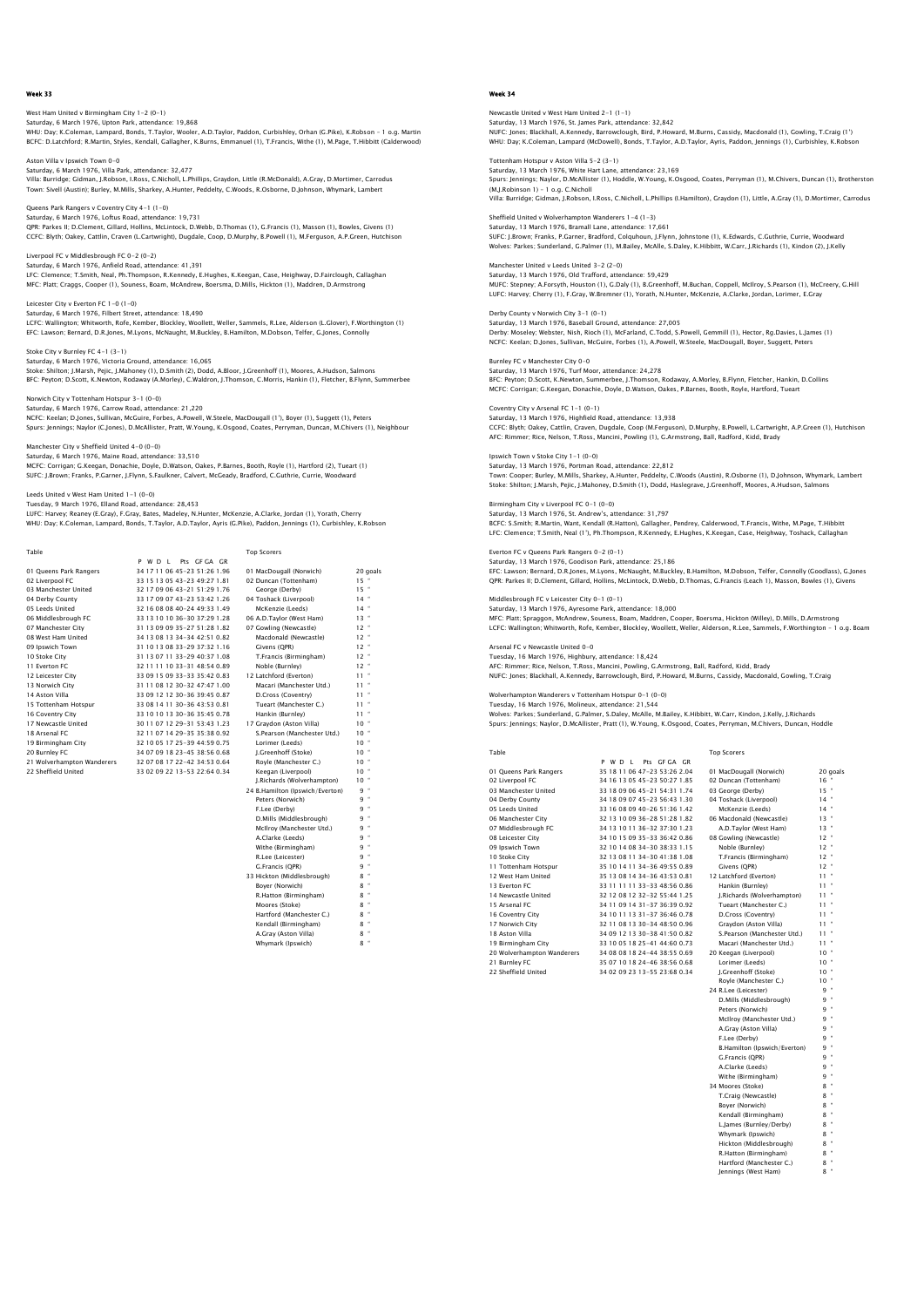West Ham United v Birmingham City 1–2 (0–1)<br>Saturday, 6 March 1976, Upton Park, attendance: 19,868<br>WHU: Day; K.Coleman, Lampard, Bonds, T.Taylor, Wooler, A.D.Taylor, Paddon, Curbishley, Orhan (G.Pike), K.Robson - 1 o.g. Ma BCFC: D.Latchford; R.Martin, Styles, Kendall, Gallagher, K.Burns, Emmanuel (1), T.Francis, Withe (1), M.Page, T.Hibbitt (Calderwood)

Aston Villa v Ipswich Town 0–0<br>Saturday, 6 March 1976, Villa Park, attendance: 32,477<br>Villa: Burridge; Gidman, J.Robson, I.Ross, C.Nicholl, L.Phillips, Graydon, Little (R.McDonald), A.Gray, D.Mortimer, Carrodus Town: Sivell (Austin); Burley, M.Mills, Sharkey, A.Hunter, Peddelty, C.Woods, R.Osborne, D.Johnson, Whymark, Lambert

Queens Park Rangers v Coventry City 4-1 (1-0) Saturday, 6 March 1976, Loftus Road, attendance: 19,731 QPR: Parkes II; D.Clement, Gillard, Hollins, McLintock, D.Webb, D.Thomas (1), G.Francis (1), Masson (1), Bowles, Givens (1) CCFC: Blyth; Oakey, Cattlin, Craven (L.Cartwright), Dugdale, Coop, D.Murphy, B.Powell (1), M.Ferguson, A.P.Green, Hutchison

Liverpool FC v Middlesbrough FC 0-2 (0-2) Saturday, 6 March 1976, Anfield Road, attendance: 41,391 LFC: Clemence; T.Smith, Neal, Ph.Thompson, R.Kennedy, E.Hughes, K.Keegan, Case, Heighway, D.Fairclough, Callaghan MFC: Platt; Craggs, Cooper (1), Souness, Boam, McAndrew, Boersma, D.Mills, Hickton (1), Maddren, D.Armstrong

Leicester City v Everton FC 1-0 (1-0) Saturday, 6 March 1976, Filbert Street, attendance: 18,490 LCFC: Wallington; Whitworth, Rofe, Kember, Blockley, Woollett, Weller, Sammels, R.Lee, Alderson (L.Glover), F.Worthington (1) EFC: Lawson; Bernard, D.R.Jones, M.Lyons, McNaught, M.Buckley, B.Hamilton, M.Dobson, Telfer, G.Jones, Connolly

# Stoke City v Burnley FC 4-1 (3-1)

Saturday, 6 March 1976, Victoria Ground, attendance: 16,065 Stoke: Shilton; J.Marsh, Pejic, J.Mahoney (1), D.Smith (2), Dodd, A.Bloor, J.Greenhoff (1), Moores, A.Hudson, Salmons BFC: Peyton; D.Scott, K.Newton, Rodaway (A.Morley), C.Waldron, J.Thomson, C.Morris, Hankin (1), Fletcher, B.Flynn, Summerbee

Norwich City v Tottenham Hotspur 3-1 (0-0) Saturday, 6 March 1976, Carrow Road, attendance: 21,220<br>NCFC: Keelan; D.Jones, Sullivan, MCGuire, Forbes, A.Powell, W.Steele, MacDougall (1'), Boyer (1), Suggett (1), Peters<br>Spurs: Jennings; Naylor (C.Jones), D.McAllister,

#### Manchester City v Sheffield United 4-0 (0-0) Saturday, 6 March 1976, Maine Road, attendance: 33,510

MCFC: Corrigan; G.Keegan, Donachie, Doyle, D.Watson, Oakes, P.Barnes, Booth, Royle (1), Hartford (2), Tueart (1) SUFC: J.Brown; Franks, P.Garner, J.Flynn, S.Faulkner, Calvert, McGeady, Bradford, C.Guthrie, Currie, Woodward

### Leeds United v West Ham United 1-1 (0-0)

Tuesday, 9 March 1976, Elland Road, attendance: 28,453

LUFC: Harvey; Reaney (E.Gray), F.Gray, Bates, Madeley, N.Hunter, McKenzie, A.Clarke, Jordan (1), Yorath, Cherry<br>WHU: Day: K.Coleman, Lampard, Bonds, T.Taylor, A.D.Taylor, Ayris (G.Pike), Paddon, Jennings (1), Curbishley, K

| Table                      |                              | <b>Top Scorers</b>              |                 |
|----------------------------|------------------------------|---------------------------------|-----------------|
|                            | PWDI<br>Pts GEGA GR          |                                 |                 |
| 01 Queens Park Rangers     | 34 17 11 06 45-23 51:26 1.96 | 01 MacDougall (Norwich)         | 20 goals        |
| 02 Liverpool FC            | 33 15 13 05 43-23 49:27 1.81 | 02 Duncan (Tottenham)           | $15 -$          |
| 03 Manchester United       | 32 17 09 06 43-21 51:29 1.76 | George (Derby)                  | $15 -$          |
| 04 Derby County            | 33 17 09 07 43-23 53:42 1.26 | 04 Toshack (Liverpool)          | $14$ $*$        |
| 05 Leeds United            | 32 16 08 08 40-24 49:33 1.49 | McKenzie (Leeds)                | $14 -$          |
| 06 Middlesbrough FC        | 33 13 10 10 36-30 37:29 1.28 | 06 A.D.Taylor (West Ham)        | $13 -$          |
| 07 Manchester City         | 31 13 09 09 35-27 51:28 1.82 | 07 Gowling (Newcastle)          | $12 -$          |
| 08 West Ham United         | 34 13 08 13 34-34 42:51 0.82 | Macdonald (Newcastle)           | $12 -$          |
| 09 Ipswich Town            | 31 10 13 08 33-29 37:32 1.16 | Givens (OPR)                    | $12 -$          |
| 10 Stoke City              | 31 13 07 11 33-29 40:37 1.08 | T.Francis (Birmingham)          | $12 -$          |
| 11 Everton EC              | 32 11 11 10 33-31 48:54 0.89 | Noble (Burnley)                 | $12 -$          |
| 12 Leicester City          | 33 09 15 09 33-33 35:42 0.83 | 12 Latchford (Everton)          | $11 -$          |
| 13 Norwich City            | 31 11 08 12 30-32 47:47 1.00 | Macari (Manchester Utd.)        | $11 -$          |
| 14 Aston Villa             | 33 09 12 12 30-36 39:45 0.87 | D.Cross (Coventry)              | $11 -$          |
| 15 Tottenham Hotspur       | 33 08 14 11 30-36 43:53 0.81 | Tueart (Manchester C.)          | $11 -$          |
| 16 Coventry City           | 33 10 10 13 30-36 35:45 0.78 | Hankin (Burnley)                | $11 -$          |
| 17 Newcastle United        | 30 11 07 12 29-31 53:43 1.23 | 17 Gravdon (Aston Villa)        | 10 <sup>4</sup> |
| 18 Arsenal FC              | 32 11 07 14 29-35 35:38 0.92 | S.Pearson (Manchester Utd.)     | $10^{-4}$       |
| 19 Birmingham City         | 32 10 05 17 25-39 44:59 0.75 | Lorimer (Leeds)                 | $10^{-4}$       |
| 20 Burnley FC              | 34 07 09 18 23-45 38:56 0.68 | J.Greenhoff (Stoke)             | $10 -$          |
| 21 Wolverhampton Wanderers | 32 07 08 17 22-42 34:53 0.64 | Rovle (Manchester C.)           | $10^{-4}$       |
| 22 Sheffield United        | 33 02 09 22 13-53 22:64 0.34 | Keegan (Liverpool)              | $10 -$          |
|                            |                              | J.Richards (Wolverhampton)      | $10^{-4}$       |
|                            |                              | 24 B.Hamilton (Ipswich/Everton) | $9 -$           |
|                            |                              | Peters (Norwich)                | $9 -$           |
|                            |                              | F.Lee (Derby)                   | $9 -$           |
|                            |                              | D.Mills (Middlesbrough)         | $9 -$           |
|                            |                              | McIlroy (Manchester Utd.)       | $9 -$           |
|                            |                              | A.Clarke (Leeds)                | $q -$           |
|                            |                              | Withe (Birmingham)              | $9 -$           |
|                            |                              | R.Lee (Leicester)               | $q -$           |
|                            |                              |                                 |                 |

| Tueart (Manchester C.)          | . . |   |
|---------------------------------|-----|---|
| Hankin (Burnley)                | 11  | ٠ |
| 17 Gravdon (Aston Villa)        | 10  | ٠ |
| S.Pearson (Manchester Utd.)     | 10  | ٠ |
| Lorimer (Leeds)                 | 10  | ٠ |
| J.Greenhoff (Stoke)             | 10  | ٠ |
| Royle (Manchester C.)           | 10  | ٠ |
| Keegan (Liverpool)              | 10  | ä |
| J.Richards (Wolverhampton)      | 10  | ٠ |
| 24 B.Hamilton (Ipswich/Everton) | q   | ä |
| Peters (Norwich)                | 9   | ٠ |
| F.Lee (Derby)                   | 9   | ٠ |
| D.Mills (Middlesbrough)         | 9   | ٠ |
| McIlroy (Manchester Utd.)       | 9   | ٠ |
| A.Clarke (Leeds)                | 9   | ٠ |
| Withe (Birmingham)              | q   | ä |
| R.Lee (Leicester)               | q   | ä |
| G.Francis (OPR)                 | q   | ä |
| 33 Hickton (Middlesbrough)      | 8   | ٠ |
| Bover (Norwich)                 | 8   | ٠ |
| R.Hatton (Birmingham)           | 8   | ٠ |
| Moores (Stoke)                  | 8   | ٠ |
| Hartford (Manchester C.)        | 8   | ٠ |
| Kendall (Birmingham)            | 8   | ٠ |
| A.Gray (Aston Villa)            | 8   | ä |
| Whymark (Ipswich)               | g   | ä |

## Week 34

Newcastle United v West Ham United 2–1 (1–1)<br>Saturday, 13 March 1976, St. James Park, attendance: 32,842<br>NUFC: Jones; Blackhall, A.Kennedy, Barrowclough, Bird, P.Howard, M.Burns, Cassidy, Macdonald (1), Gowling, T.Craig (1 WHU: Day; K.Coleman, Lampard (McDowell), Bonds, T.Taylor, A.D.Taylor, Ayris, Paddon, Jennings (1), Curbishley, K.Robson

Tottenham Hotspur v Aston Villa 5–2 (3–1)<br>Saturday, 13 March 1976, White Hart Lane, attendance: 23,169<br>Spurs: Jennings: Naylor, D.McAllister (1), Hoddle, W.Young, K.Osgood, Coates, Perryman (1), M.Chivers, Duncan (1), Brot (M.J.Robinson 1) – 1 o.g. C.Nicholl Villa: Burridge; Gidman, J.Robson, I.Ross, C.Nicholl, L.Phillips (I.Hamilton), Graydon (1), Little, A.Gray (1), D.Mortimer, Carrodus

Sheffield United v Wolverhampton Wanderers 1-4 (1-3) Saturday, 13 March 1976, Bramall Lane, attendance: 17,661<br>SUFC: J.Brown; Franks, P.Carner, Bradford, Colquhoun, J.Flynn, Johnstone (1), K.Edwards, C.Guthrie, Currie, Woodward<br>Wolves: Parkes; Sunderland, G.Palmer (1), M.Bai

Manchester United v Leeds United 3-2 (2-0) Saturday, 13 March 1976, Old Trafford, attendance: 59,429 MUFC: Stepney; A.Forsyth, Houston (1), G.Daly (1), B.Greenhoff, M.Buchan, Coppell, McIlroy, S.Pearson (1), McCreery, G.Hill LUFC: Harvey; Cherry (1), F.Gray, W.Bremner (1), Yorath, N.Hunter, McKenzie, A.Clarke, Jordan, Lorimer, E.Gray

Derby County v Norwich City 3-1 (0-1) rby County v Norwich City 3–1 (0–1)<br>:urday, 13 March 1976, Baseball Ground, attendance: 27,005 Derby: Moseley; Webster, Nish, Rioch (1), McFarland, C.Todd, S.Powell, Gemmill (1), Hector, Rg.Davies, L.James (1) NCFC: Keelan; D.Jones, Sullivan, McGuire, Forbes (1), A.Powell, W.Steele, MacDougall, Boyer, Suggett, Peters

## Burnley FC v Manchester City 0-0 Saturday, 13 March 1976, Turf Moor, attendance: 24,278

BFC: Peyton; D.Scott, K.Newton, Summerbee, J.Thomson, Rodaway, A.Morley, B.Flynn, Fletcher, Hankin, D.Collins MCFC: Corrigan; G.Keegan, Donachie, Doyle, D.Watson, Oakes, P.Barnes, Booth, Royle, Hartford, Tueart

Coventry City v Arsenal FC 1-1 (0-1) y City v Arsenar FC 1-1 (0-1)<br>y, 13 March 1976, Highfield Road, attendance: 13,938

CCFC: Blyth; Oakey, Cattlin, Craven, Dugdale, Coop (M.Ferguson), D.Murphy, B.Powell, L.Cartwright, A.P.Green (1), Hutchison AFC: Rimmer; Rice, Nelson, T.Ross, Mancini, Powling (1), G.Armstrong, Ball, Radford, Kidd, Brady

## Ipswich Town v Stoke City 1-1 (0-0) Saturday, 13 March 1976, Portman Road, attendance: 22,812

Town: Cooper; Burley, M.Mills, Sharkey, A.Hunter, Peddelty, C.Woods (Austin), R.Osborne (1), D.Johnson, Whymark, Lamber1<br>Stoke: Shilton; J.Marsh, Pejic, J.Mahoney, D.Smith (1), Dodd, Haslegrave, J.Greenhoff, Moores, A.Huds

Birmingham City v Liverpool FC 0-1 (0-0) Saturday, 13 March 1976, St. Andrew's, attendance: 31,797<br>BCFC: S.Smith; R.Martin, Want, Kendall (R.Hatton), Gallagher, Pendrey, Calderwood, T.Francis, Withe, M.Page, T.Hibbitt<br>LFC: Clemence; T.Smith, Neal (1'), Ph.Thompso

## Everton FC v Queens Park Rangers 0-2 (0-1)

Table Top Scorers

Saturday, 13 March 1976, Goodison Park, attendance: 25,186 EFC: Lawson; Bernard, D.R.Jones, M.Lyons, McNaught, M.Buckley, B.Hamilton, M.Dobson, Telfer, Connolly (Goodlass), G.Jones<br>QPR: Parkes II; D.Clement, Gillard, Hollins, McLintock, D.Webb, D.Thomas, G.Francis (Leach 1), Masso

Middlesbrough FC v Leicester City 0-1 (0-1)

Saturday, 13 March 1976, Ayresome Park, attendance: 18,000<br>MFC: Platt: Spraggon, McAndrew, Souness, Boam, Maddren, Cooper, Boersma, Hickton (Willey), D.Mills, D.Armstrong<br>LCFC: Wallington: Whitworth, Rofe, Kember, Blockley

### Arsenal FC v Newcastle United 0-0

Tuesday, 16 March 1976, Highbury, attendance: 18,424<br>AFC: Rimmer; Rice, Nelson, T.Ross, Mancini, Powling, G.Armstrong, Ball, Radford, Kidd, Brady<br>NUFC: Jones: Blackhall, A.Kennedy, Barrowclough, Bird, P.Howard, M.Burns, Ca

### Wolverhampton Wanderers v Tottenham Hotspur 0-1 (0-0)

Tuesday, 16 March 1976, Molineux, attendance: 21,544<br>Wolves: Parkes; Sunderland, G.Palmer, S.Daley, McAlle, M.Bailey, K.Hibbitt, W.Carr, Kindon, J.Kelly, J.Richards<br>Spurs: Jennings: Naylor, D.McAllister, Pratt (1), W.Young

|                            | Pts GEGA GR<br>P W D I         |                             |                 |
|----------------------------|--------------------------------|-----------------------------|-----------------|
| 01 Oueens Park Rangers     | 35 18 11 06 47-23 53:26 2.04   | 01 MacDougall (Norwich)     | 20 goals        |
| 02 Liverpool FC            | 34 16 13 05 45-23 50:27 1.85   | 02 Duncan (Tottenham)       | $16 -$          |
| 03 Manchester United       | 33 18 09 06 45-21 54 31 1.74   | 03 George (Derby)           | $15$ $*$        |
| 04 Derby County            | 34 18 09 07 45-23 56:43 1.30   | 04 Toshack (Liverpool)      | $14$ $*$        |
| 05 Leeds United            | 33 16 08 09 40-26 51 36 1.42   | McKenzie (Leeds)            | $14 -$          |
| 06 Manchester City         | 32 13 10 09 36-28 51:28 1.82   | 06 Macdonald (Newcastle)    | $13 -$          |
| 07 Middlesbrough FC        | 34 13 10 11 36-32 37:30 1.23   | A.D.Taylor (West Ham)       | $13 -$          |
| 08 Leicester City          | 34 10 15 09 35-33 36:42 0.86   | 08 Gowling (Newcastle)      | $12 -$          |
| 09 Ipswich Town            | 32 10 14 08 34-30 38:33 1.15   | Noble (Burnley)             | $12 -$          |
| 10 Stoke City              | 32 13 08 11 34-30 41:38 1.08   | T.Francis (Birmingham)      | $12 -$          |
| 11 Tottenham Hotspur       | 35 10 14 11 34-36 49:55 0.89   | Givens (OPR)                | $12 -$          |
| 12 West Ham United         | 35 13 08 14 34-36 43:53 0.81   | 12 Latchford (Everton)      | $11 -$          |
| 13 Everton EC              | 33 11 11 11 33-33 48:56 0.86   | Hankin (Burnley)            | $11 -$          |
| 14 Newcastle United        | 32 12 08 12 32-32 55:44 1.25   | I.Richards (Wolverhampton)  | $11 -$          |
| 15 Arsenal FC              | 34 11 09 14 31-37 36:39 0.92   | Tueart (Manchester C.)      | 11 *            |
| 16 Coventry City           | 34 10 11 13 31 - 37 36:46 0.78 | D.Cross (Coventry)          | $11 -$          |
| 17 Norwich City            | 32 11 08 13 30-34 48:50 0.96   | Gravdon (Aston Villa)       | $11 -$          |
| 18 Aston Villa             | 34 09 12 13 30-38 41:50 0.82   | S.Pearson (Manchester Utd.) | $11 -$          |
| 19 Birmingham City         | 33 10 05 18 25-41 44:60 0.73   | Macari (Manchester Utd.)    | $11 -$          |
| 20 Wolverhampton Wanderers | 34 08 08 18 24-44 38:55 0.69   | 20 Keegan (Liverpool)       | 10 <sup>4</sup> |
| 21 Burnley FC              | 35 07 10 18 24-46 38:56 0.68   | Lorimer (Leeds)             | $10^{-4}$       |
| 22 Sheffield United        | 34 02 09 23 13-55 23:68 0.34   | J.Greenhoff (Stoke)         | 10 <sup>4</sup> |
|                            |                                | Rovie (Manchester C.)       | $10 -$          |

| Tueart (Manchester C.)       | . . |   |
|------------------------------|-----|---|
| D.Cross (Coventry)           | 11  | ł |
| Graydon (Aston Villa)        | 11  | ł |
| S.Pearson (Manchester Utd.)  | 11  | ł |
| Macari (Manchester Utd.)     | 11  | ł |
| 20 Keegan (Liverpool)        | 10  | ł |
| Lorimer (Leeds)              | 10  | ł |
| J.Greenhoff (Stoke)          | 10  | ł |
| Royle (Manchester C.)        | 10  | ł |
| 24 R.Lee (Leicester)         | 9   | ł |
| D.Mills (Middlesbrough)      | 9   | ł |
| Peters (Norwich)             | 9   | ł |
| McIlroy (Manchester Utd.)    | 9   | ł |
| A.Gray (Aston Villa)         | 9   | ł |
| F.Lee (Derby)                | 9   | ł |
| B.Hamilton (Ipswich/Everton) | 9   | ł |
| G.Francis (OPR)              | 9   | ł |
| A.Clarke (Leeds)             | 9   | ł |
| Withe (Birmingham)           | 9   | ł |
| 34 Moores (Stoke)            | 8   | ł |
| T.Craig (Newcastle)          | 8   | ł |
| Bover (Norwich)              | 8   | f |
| Kendall (Birmingham)         | 8   | ł |
| L.James (Burnley/Derby)      | 8   | ł |
| Whymark (Ipswich)            | 8   | ł |
| Hickton (Middlesbrough)      | 8   | ł |
| R.Hatton (Birmingham)        | 8   | ł |
|                              |     |   |

Hartford (Manchester C.) artiord (Manchest)<br>Innings (West Ham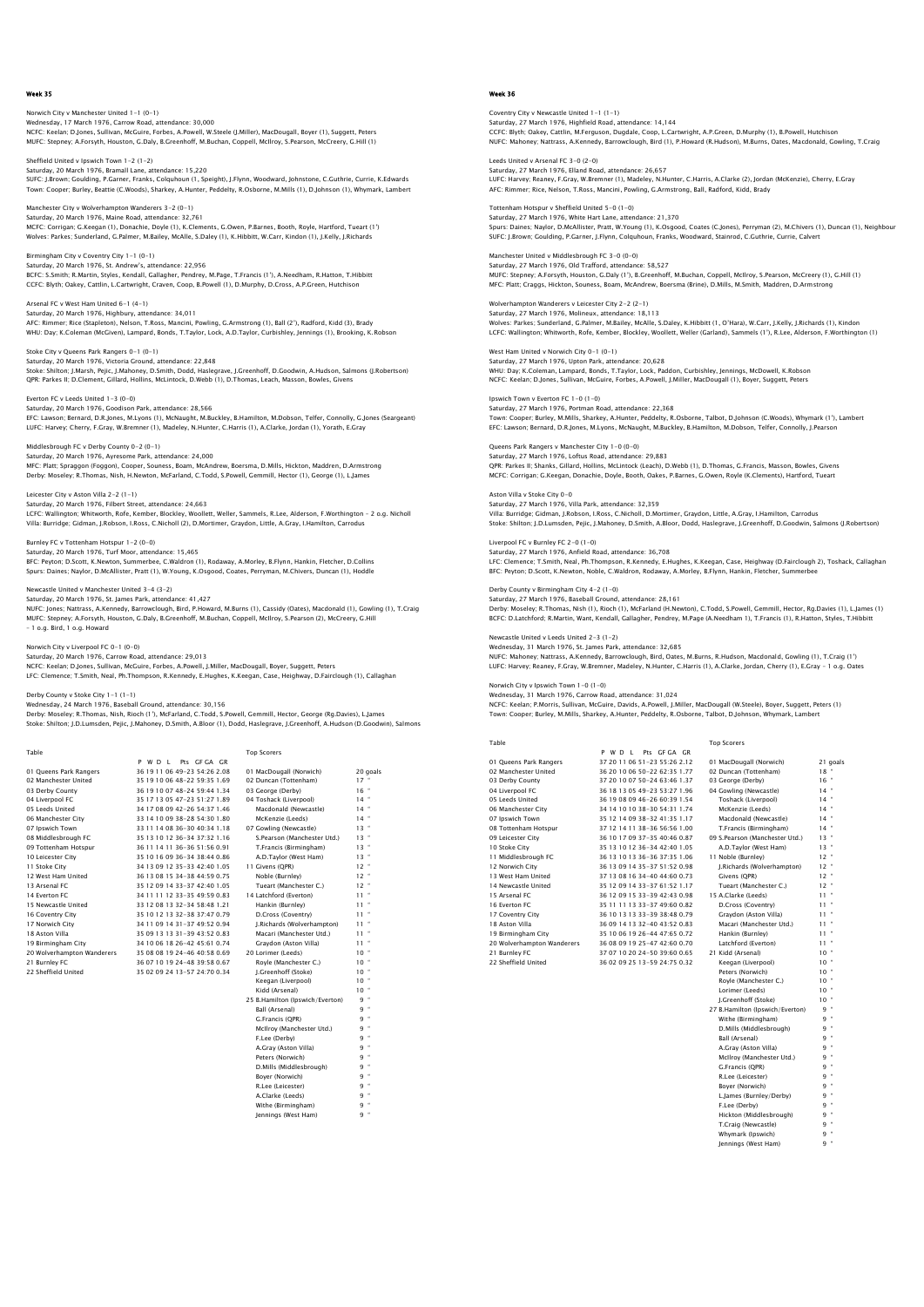## Norwich City v Manchester United 1–1 (0–1)<br>Wednesday, 17 March 1976, Carrow Road, attendance: 30,000<br>NCFC: Keelan; D.Jones, Sullivan, McGuire, Forbes, A.Powell, W.Steele (J.Miller), MacDougall, Boyer (1), Suggett, Peters MUFC: Stepney; A.Forsyth, Houston, G.Daly, B.Greenhoff, M.Buchan, Coppell, McIlroy, S.Pearson, McCreery, G.Hill (1)

Sheffield United v Ipswich Town 1-2 (1-2) Saturday, 20 March 1976, Bramall Lane, attendance: 15,220 SUFC: J.Brown; Goulding, P.Garner, Franks, Colquhoun (1, Speight), J.Flynn, Woodward, Johnstone, C.Guthrie, Currie, K.Edwards Town: Cooper; Burley, Beattie (C.Woods), Sharkey, A.Hunter, Peddelty, R.Osborne, M.Mills (1), D.Johnson (1), Whymark, Lambert

Manchester City v Wolverhampton Wanderers 3-2 (0-1) Saturday, 20 March 1976, Maine Road, attendance: 32,761 MCFC: Corrigan; G.Keegan (1), Donachie, Doyle (1), K.Clements, G.Owen, P.Barnes, Booth, Royle, Hartford, Tueart (1')<br>Wolves: Parkes; Sunderland, G.Palmer, M.Bailey, McAlle, S.Daley (1), K.Hibbitt, W.Carr, Kindon (1), J.Kel

Birmingham City v Coventry City 1-1 (0-1) Saturday, 20 March 1976, St. Andrew's, attendance: 22,956 BCFC: S.Smith; R.Martin, Styles, Kendall, Gallagher, Pendrey, M.Page, T.Francis (1'), A.Needham, R.Hatton, T.Hibbitt<br>CCFC: Blyth; Oakey, Cattlin, L.Cartwright, Craven, Coop, B.Powell (1), D.Murphy, D.Cross, A.P.Green, Hutc

Arsenal FC v West Ham United 6–1 (4–1)<br>Saturday, 20 March 1976, Highbury, attendance: 34,011<br>AFC: Rimmer; Rice (Stapleton), Nelson, T.Ross, Mancini, Powling, G.Armstrong (1), Ball (2'), Radford, Kidd (3), Brady WHU: Day; K.Coleman (McGiven), Lampard, Bonds, T.Taylor, Lock, A.D.Taylor, Curbishley, Jennings (1), Brooking, K.Robson

## Stoke City v Queens Park Rangers 0-1 (0-1) Saturday, 20 March 1976, Victoria Ground, attendance: 22,848 Stoke: Shilton; J.Marsh, Pejic, J.Mahoney, D.Smith, Dodd, Haslegrave, J.Greenhoff, D.Goodwin, A.Hudson, Salmons (J.Robertson) QPR: Parkes II; D.Clement, Gillard, Hollins, McLintock, D.Webb (1), D.Thomas, Leach, Masson, Bowles, Givens

Everton FC v Leeds United 1-3 (0-0)

Saturday, 20 March 1976, Goodison Park, attendance: 28,566 EFC: Lawson; Bernard, D.R.Jones, M.Lyons (1), McNaught, M.Buckley, B.Hamilton, M.Dobson, Telfer, Connolly, G.Jones (Seargeant) LUFC: Harvey; Cherry, F.Gray, W.Bremner (1), Madeley, N.Hunter, C.Harris (1), A.Clarke, Jordan (1), Yorath, E.Gray

# Middlesbrough FC v Derby County 0-2 (0-1) Saturday, 20 March 1976, Ayresome Park, attendance: 24,000<br>MFC: Platt: Spraggon (Foggon), Cooper, Souness, Boam, McAndrew, Boersma, D.Mills, Hickton, Maddren, D.Armstrong<br>Derby: Moseley; R.Thomas, Nish, H.Newton, McFarland

### Leicester City v Aston Villa 2-2 (1-1) Saturday, 20 March 1976, Filbert Street, attendance: 24,663

LCFC: Wallington; Whitworth, Rofe, Kember, Blockley, Woollett, Weller, Sammels, R.Lee, Alderson, F.Worthington - 2 o.g. Nicholl<br>Villa: Burridge; Gidman, J.Robson, I.Ross, C.Nicholl (2), D.Mortimer, Graydon, Little, A.Gray,

### Burnley FC v Tottenham Hotspur 1-2 (0-0) Saturday, 20 March 1976, Turf Moor, attendance: 15,465

BFC: Peyton; D.Scott, K.Newton, Summerbee, C.Waldron (1), Rodaway, A.Morley, B.Flynn, Hankin, Fletcher, D.Collins<br>Spurs: Daines; Naylor, D.McAllister, Pratt (1), W.Young, K.Osgood, Coates, Perryman, M.Chivers, Duncan (1),

## Newcastle United v Manchester United 3-4 (3-2)

Saturday, 20 March 1976, St. James Park, attendance: 41,427 NUFC: Jones; Nattrass, A.Kennedy, Barrowclough, Bird, P.Howard, M.Burns (1), Cassidy (Oates), Macdonald (1), Gowling (1), T.Craig MUFC: Stepney; A.Forsyth, Houston, G.Daly, B.Greenhoff, M.Buchan, Coppell, McIlroy, S.Pearson (2), McCreery, G.Hill – 1 o.g. Bird, 1 o.g. Howard

## Norwich City v Liverpool FC 0-1 (0-0)

Saturday, 20 March 1976, Carrow Road, attendance: 29,013<br>NCFC: Keelan; D.Jones, Sullivan, McGuire, Forbes, A.Powell, J.Miller, MacDougall, Boyer, Suggett, Peters<br>LFC: Clemence; T.Smith, Neal, Ph.Thompson, R.Kennedy, E.Hugh

## Derby County v Stoke City 1-1 (1-1)

Wednesday, 24 March 1976, Baseball Ground, attendance: 30,156<br>Derby: Moseley; R.Thomas, Nish, Rioch (1'), McFarland, C.Todd, S.Powell, Gemmill, Hector, George (Rg.Davies), L.James<br>Stoke: Shilton: J.D.Lumsden, Pejic, J.Maho

Table Table **Table Top Scorers** 

|                            | Pts GF GA GR<br>PWDL         |                                 |           |
|----------------------------|------------------------------|---------------------------------|-----------|
| 01 Oueens Park Rangers     | 36 19 11 06 49-23 54:26 2.08 | 01 MacDougall (Norwich)         | 20 goals  |
| 02 Manchester United       | 35 19 10 06 48-22 59:35 1.69 | 02 Duncan (Tottenham)           | $17 -$    |
| 03 Derby County            | 36 19 10 07 48-24 59:44 1.34 | 03 George (Derby)               | $16 -$    |
| 04 Liverpool FC            | 35 17 13 05 47-23 51:27 1.89 | 04 Toshack (Liverpool)          | $14 -$    |
| 05 Leeds United            | 34 17 08 09 42-26 54 37 1.46 | Macdonald (Newcastle)           | $14$ $*$  |
| 06 Manchester City         | 33 14 10 09 38-28 54 30 1.80 | McKenzie (Leeds)                | $14 -$    |
| 07 Ipswich Town            | 33 11 14 08 36-30 40:34 1.18 | 07 Gowling (Newcastle)          | $13 -$    |
| 08 Middlesbrough FC        | 35 13 10 12 36-34 37:32 1.16 | S.Pearson (Manchester Utd.)     | $13 -$    |
| 09 Tottenham Hotspur       | 36 11 14 11 36-36 51:56 0.91 | T.Francis (Birmingham)          | $13 -$    |
| 10 Leicester City          | 35 10 16 09 36-34 38:44 0.86 | A.D.Taylor (West Ham)           | $13 -$    |
| 11 Stoke City              | 34 13 09 12 35-33 42:40 1.05 | 11 Givens (OPR)                 | $12 -$    |
| 12 West Ham United         | 36 13 08 15 34-38 44:59 0.75 | Noble (Burnley)                 | $12 -$    |
| 13 Arsenal FC              | 35 12 09 14 33-37 42:40 1.05 | Tueart (Manchester C.)          | $12 -$    |
| 14 Everton EC              | 34 11 11 12 33-35 49:59 0.83 | 14 Latchford (Everton)          | $11 -$    |
| 15 Newcastle United        | 33 12 08 13 32-34 58:48 1.21 | Hankin (Burnley)                | $11 -$    |
| 16 Coventry City           | 35 10 12 13 32-38 37:47 0.79 | D.Cross (Coventry)              | $11 -$    |
| 17 Norwich City            | 34 11 09 14 31-37 49:52 0.94 | J.Richards (Wolverhampton)      | $11 -$    |
| 18 Aston Villa             | 35 09 13 13 31-39 43:52 0.83 | Macari (Manchester Utd.)        | $11 -$    |
| 19 Birmingham City         | 34 10 06 18 26-42 45 61 0.74 | Gravdon (Aston Villa)           | $11 -$    |
| 20 Wolverhampton Wanderers | 35 08 08 19 24-46 40:58 0.69 | 20 Lorimer (Leeds)              | $10 -$    |
| 21 Burnley FC              | 36 07 10 19 24-48 39:58 0.67 | Rovle (Manchester C.)           | $10-10$   |
| 22 Sheffield United        | 35 02 09 24 13-57 24:70 0.34 | J.Greenhoff (Stoke)             | $10-10$   |
|                            |                              | Keegan (Liverpool)              | $10 -$    |
|                            |                              | Kidd (Arsenal)                  | $10^{-4}$ |
|                            |                              | 25 B.Hamilton (Ipswich/Everton) | $9 -$     |
|                            |                              | Ball (Arsenal)                  | $9 -$     |
|                            |                              | G.Francis (OPR)                 | $9 -$     |
|                            |                              | McIlroy (Manchester Utd.)       | $9 -$     |
|                            |                              | F.Lee (Derby)                   | $9 -$     |
|                            |                              | A.Gray (Aston Villa)            | $9 -$     |
|                            |                              | Peters (Norwich)                | $9 -$     |
|                            |                              | D.Mills (Middlesbrough)         | $9 -$     |
|                            |                              | Bover (Norwich)                 | $9 -$     |
|                            |                              | R.Lee (Leicester)               | $9 -$     |

A.Clarke (Leeds)

Withe (Birmingham) 9 " Jennings (West Ham) 9 "

## Week 36

entry City v Newcastle United 1-1 (1-1) Saturday, 27 March 1976, Highfield Road, attendance: 14,144 CCFC: Blyth; Oakey, Cattlin, M.Ferguson, Dugdale, Coop, L.Cartwright, A.P.Green, D.Murphy (1), B.Powell, Hutchison NUFC: Mahoney; Nattrass, A.Kennedy, Barrowclough, Bird (1), P.Howard (R.Hudson), M.Burns, Oates, Macdonald, Gowling, T.Craig

Leeds United v Arsenal FC 3-0 (2-0) Saturday, 27 March 1976, Elland Road, attendance: 26,657 LUFC: Harvey; Reaney, F.Gray, W.Bremner (1), Madeley, N.Hunter, C.Harris, A.Clarke (2), Jordan (McKenzie), Cherry, E.Gray AFC: Rimmer; Rice, Nelson, T.Ross, Mancini, Powling, G.Armstrong, Ball, Radford, Kidd, Brady

Tottenham Hotspur v Sheffield United 5–0 (1–0)<br>Saturday, 27 March 1976, White Hart Lane, attendance: 21,370<br>Spurs: Daines; Naylor, D.McAllister, Pratt, W.Young (1), K.Osgood, Coates (C.Jones), Perryman (2), M.Chivers (1),

Manchester United v Middlesbrough FC 3-0 (0-0)<br>Saturdav, 27 March 1976, Old Trafford, attendance: 58 527 Marichester United V Middlesbrowg... 2008<br>Saturday, 27 March 1976, Old Trafford, atte MUFC: Stepney; A.Forsyth, Houston, G.Daly (1'), B.Greenhoff, M.Buchan, Coppell, McIlroy, S.Pearson, McCreery (1), G.Hill (1)<br>MFC: Platt; Craggs, Hickton, Souness, Boam, McAndrew, Boersma (Brine), D.Mills, M.Smith, Maddren,

mpton Wanderers v Leicester City 2-2 (2-1) Saturday, 27 March 1976, Molineux, attendance: 18,113<br>Wolves: Parkes; Sunderland, G.Palmer, M.Bailey, McAlle, S.Daley, K.Hibbitt (1, O'Hara), W.Carr, J.Kelly, J.Richards (1), Kindor LCFC: Wallington; Whitworth, Rofe, Kember, Blockley, Woollett, Weller (Garland), Sammels (1'), R.Lee, Alderson, F.Worthington (1)

West Ham United v Norwich City 0-1 (0-1) Saturday, 27 March 1976, Upton Park, attendance: 20,628 WHU: Day; K.Coleman, Lampard, Bonds, T.Taylor, Lock, Paddon, Curbishley, Jennings, McDowell, K.Robson NCFC: Keelan; D.Jones, Sullivan, McGuire, Forbes, A.Powell, J.Miller, MacDougall (1), Boyer, Suggett, Peters

Ipswich Town v Everton FC 1-0 (1-0) Saturday, 27 March 1976, Portman Road, attendance: 22,368 Town: Cooper; Burley, M.Mills, Sharkey, A.Hunter, Peddelty, R.Osborne, Talbot, D.Johnson (C.Woods), Whymark (1'), Lambert EFC: Lawson; Bernard, D.R.Jones, M.Lyons, McNaught, M.Buckley, B.Hamilton, M.Dobson, Telfer, Connolly, J.Pearson

Queens Park Rangers v Manchester City 1-0 (0-0) Saturday, 27 March 1976, Loftus Road, attendance: 29,883<br>QPR: Parkes II; Shanks, Gillard, Hollins, McLintock (Leach), D.Webb (1), D.Thomas, G.Francis, Masson, Bowles, Givens<br>MCFC: Corrigan; G.Keegan, Donachie, Doyle, Booth

Aston Villa v Stoke City 0-0 Saturday, 27 March 1976, Villa Park, attendance: 32,359 Villa: Burridge; Gidman, J.Robson, I.Ross, C.Nicholl, D.Mortimer, Graydon, Little, A.Gray, I.Hamilton, Carrodus<br>Stoke: Shilton; J.D.Lumsden, Pejic, J.Mahoney, D.Smith, A.Bloor, Dodd, Haslegrave, J.Greenhoff, D.Goodwin, Sal

Liverpool FC v Burnley FC 2-0 (1-0) Saturday, 27 March 1976, Anfield Road, attendance: 36,708 LFC: Clemence; T.Smith, Neal, Ph.Thompson, R.Kennedy, E.Hughes, K.Keegan, Case, Heighway (D.Fairclough 2), Toshack, Callaghan<br>BFC: Peyton; D.Scott, K.Newton, Noble, C.Waldron, Rodaway, A.Morley, B.Flynn, Hankin, Fletcher,

Derby County v Birmingham City 4-2 (1-0) Saturday, 27 March 1976, Baseball Ground, attendance: 28,161 Derby: Moseley; R.Thomas, Nish (1), Rioch (1), McFarland (H.Newton), C.Todd, S.Powell, Gemmill, Hector, Rg.Davies (1), L.James (1) BCFC: D.Latchford; R.Martin, Want, Kendall, Gallagher, Pendrey, M.Page (A.Needham 1), T.Francis (1), R.Hatton, Styles, T.Hibbitt

### Newcastle United v Leeds United 2-3 (1-2) Wednesday, 31 March 1976, St. James Park, attendance: 32,685

NUFC: Mahoney; Nattrass, A.Kennedy, Barrowclough, Bird, Oates, M.Burns, R.Hudson, Macdonald, Gowling (1), T.Craig (1')<br>LUFC: Harvey; Reaney, F.Gray, W.Bremner, Madeley, N.Hunter, C.Harris (1), A.Clarke, Jordan, Cherry (1),

NCFC: Keelan; P.Morris, Sullivan, McGuire, Davids, A.Powell, J.Miller, MacDougall (W.Steele), Boyer, Suggett, Peters (1)<br>Town: Cooper; Burley, M.Mills, Sharkey, A.Hunter, Peddelty, R.Osborne, Talbot, D.Johnson, Whymark, La

|                            | PWDI<br>Pts GF GA GR         |                                 |                 |
|----------------------------|------------------------------|---------------------------------|-----------------|
| 01 Queens Park Rangers     | 37 20 11 06 51-23 55:26 2.12 | 01 MacDougall (Norwich)         | 21 goals        |
| 02 Manchester United       | 36 20 10 06 50-22 62:35 1.77 | 02 Duncan (Tottenham)           | $18 -$          |
| 03 Derby County            | 37 20 10 07 50-24 63:46 1.37 | 03 George (Derby)               | $16 -$          |
| 04 Liverpool FC            | 36 18 13 05 49-23 53:27 1.96 | 04 Gowling (Newcastle)          | $14 -$          |
| 05 Leeds United            | 36 19 08 09 46-26 60:39 1.54 | Toshack (Liverpool)             | $14$ $-$        |
| 06 Manchester City         | 34 14 10 10 38-30 54:31 1.74 | McKenzie (Leeds)                | $14 -$          |
| 07 Ipswich Town            | 35 12 14 09 38-32 41:35 1.17 | Macdonald (Newcastle)           | $14 -$          |
| 08 Tottenham Hotspur       | 37 12 14 11 38-36 56:56 1.00 | T.Francis (Birmingham)          | $14 -$          |
| 09 Leicester City          | 36 10 17 09 37-35 40:46 0.87 | 09 S.Pearson (Manchester Utd.)  | $13 -$          |
| 10 Stoke City              | 35 13 10 12 36-34 42:40 1.05 | A.D.Taylor (West Ham)           | $13 -$          |
| 11 Middlesbrough FC        | 36 13 10 13 36-36 37:35 1.06 | 11 Noble (Burnley)              | $12 -$          |
| 12 Norwich City            | 36 13 09 14 35-37 51:52 0.98 | J.Richards (Wolverhampton)      | $12 -$          |
| 13 West Ham United         | 37 13 08 16 34-40 44:60 0.73 | Givens (QPR)                    | $12 -$          |
| 14 Newcastle United        | 35 12 09 14 33-37 61 52 1.17 | Tueart (Manchester C.)          | $12 -$          |
| 15 Arsenal FC              | 36 12 09 15 33-39 42:43 0.98 | 15 A.Clarke (Leeds)             | 11 *            |
| 16 Everton FC              | 35 11 11 13 33-37 49:60 0.82 | D.Cross (Coventry)              | 11 *            |
| 17 Coventry City           | 36 10 13 13 33-39 38:48 0.79 | Gravdon (Aston Villa)           | 11 *            |
| 18 Aston Villa             | 36 09 14 13 32-40 43:52 0.83 | Macari (Manchester Utd.)        | 11 *            |
| 19 Birmingham City         | 35 10 06 19 26-44 47:65 0.72 | Hankin (Burnley)                | 11 *            |
| 20 Wolverhampton Wanderers | 36 08 09 19 25-47 42:60 0.70 | Latchford (Everton)             | 11 *            |
| 21 Burnley FC              | 37 07 10 20 24-50 39:60 0.65 | 21 Kidd (Arsenal)               | $10 -$          |
| 22 Sheffield United        | 36 02 09 25 13-59 24:75 0.32 | Keegan (Liverpool)              | 10 <sup>4</sup> |
|                            |                              | Peters (Norwich)                | $10 -$          |
|                            |                              | Rovie (Manchester C.)           | $10 -$          |
|                            |                              | Lorimer (Leeds)                 | $10^{-4}$       |
|                            |                              | I.Greenhoff (Stoke)             | $10 -$          |
|                            |                              | 27 B.Hamilton (Ipswich/Everton) | $9 -$           |
|                            |                              | Withe (Birmingham)              | $9 -$           |
|                            |                              | D.Mills (Middlesbrough)         | $9 -$           |
|                            |                              | Ball (Arsenal)                  | $9 -$           |
|                            |                              | A.Gray (Aston Villa)            | $9 -$           |
|                            |                              | McIlrov (Manchester Utd.)       | q =             |
|                            |                              | G.Francis (QPR)                 | $9 -$           |
|                            |                              | R.Lee (Leicester)               | $9 -$           |
|                            |                              | Boyer (Norwich)                 | $9 -$           |
|                            |                              | L.James (Burnley/Derby)         | $9 -$           |
|                            |                              | F.Lee (Derby)                   | 9 -             |
|                            |                              | Hickton (Middlesbrough)         | q =             |
|                            |                              |                                 |                 |

Whymark (Ipswich) 9  $^{\circ}$ <br>lennings (West Ham) 9  $^{\circ}$ Jennings (West Ham)

Norwich City v Ipswich Town 1-0 (1-0) Wednesday, 31 March 1976, Carrow Road, attendance: 31,024 Table Top Scorers

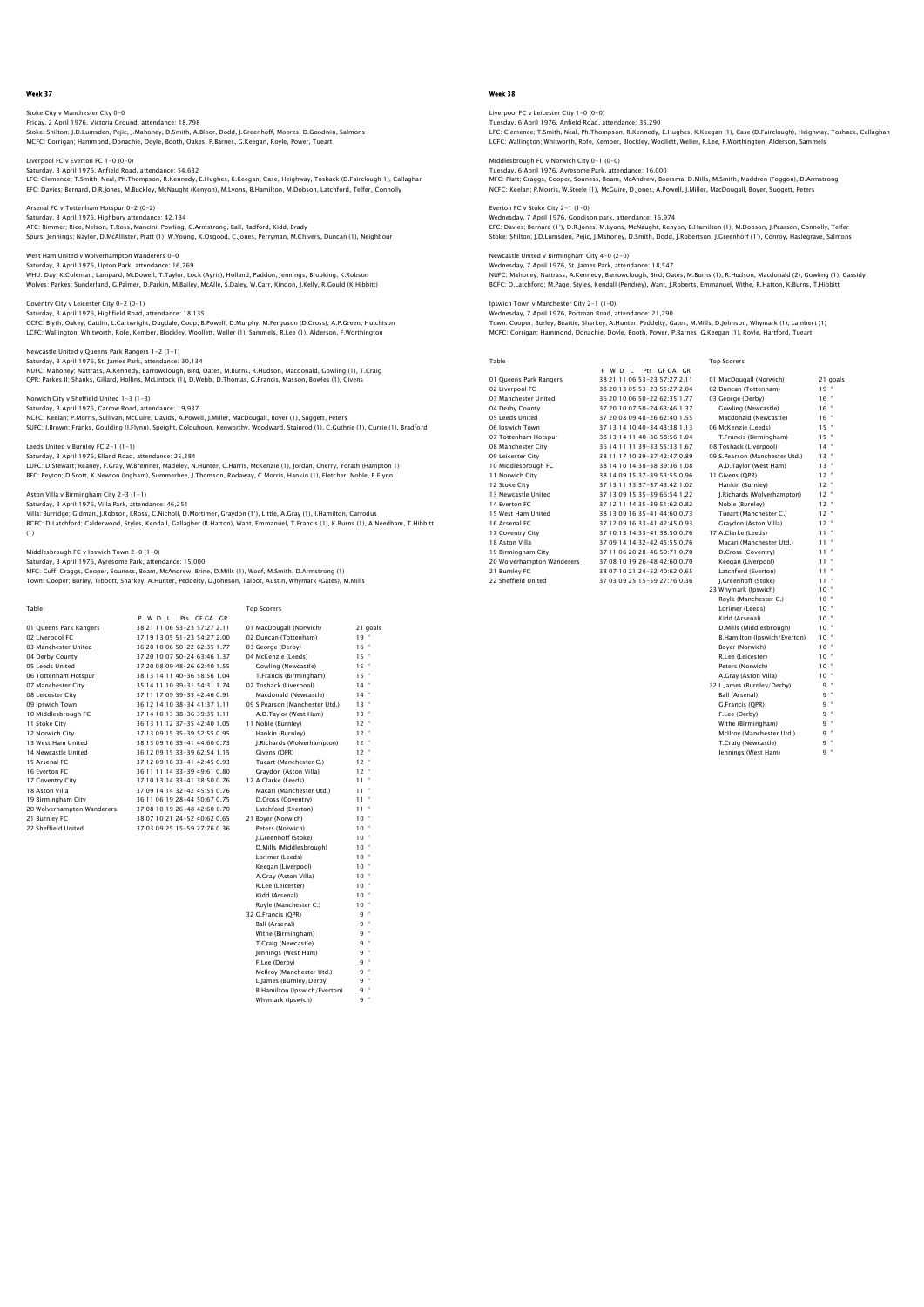## Stoke City v Manchester City 0-0 Friday, 2 April 1976, Victoria Ground, attendance: 18,798 Stoke: Shilton; J.D.Lumsden, Pejic, J.Mahoney, D.Smith, A.Bloor, Dodd, J.Greenhoff, Moores, D.Goodwin, Salmons

MCFC: Corrigan; Hammond, Donachie, Doyle, Booth, Oakes, P.Barnes, G.Keegan, Royle, Power, Tueart Liverpool FC v Everton FC 1-0 (0-0)

Saturday, 3 April 1976, Anfield Road, attendance: 54,632 LFC: Clemence; T.Smith, Neal, Ph.Thompson, R.Kennedy, E.Hughes, K.Keegan, Case, Heighway, Toshack (D.Fairclough 1), Callaghan EFC: Davies; Bernard, D.R.Jones, M.Buckley, McNaught (Kenyon), M.Lyons, B.Hamilton, M.Dobson, Latchford, Telfer, Connolly

Arsenal FC v Tottenham Hotspur 0-2 (0-2) senai FC v Tottenham Hotspur UPZ<br>Aturday, 3 April 1976, Highbury atter AFC: Rimmer; Rice, Nelson, T.Ross, Mancini, Powling, G.Armstrong, Ball, Radford, Kidd, Brady Spurs: Jennings; Naylor, D.McAllister, Pratt (1), W.Young, K.Osgood, C.Jones, Perryman, M.Chivers, Duncan (1), Neighbour

West Ham United v Wolverhampton Wanderers 0-0 Saturday, 3 April 1976, Upton Park, attendance: 16,769 WHU: Day; K.Coleman, Lampard, McDowell, T.Taylor, Lock (Ayris), Holland, Paddon, Jennings, Brooking, K.Robson<br>Wolves: Parkes; Sunderland, G.Palmer, D.Parkin, M.Bailey, McAlle, S.Daley, W.Carr, Kindon, J.Kelly, R.Gould (K.H

Coventry City v Leicester City 0-2 (0-1) Saturday, 3 April 1976, Highfield Road, attendance: 18,135 CCFC: Blyth; Oakey, Cattlin, L.Cartwright, Dugdale, Coop, B.Powell, D.Murphy, M.Ferguson (D.Cross), A.P.Green, Hutchison LCFC: Wallington; Whitworth, Rofe, Kember, Blockley, Woollett, Weller (1), Sammels, R.Lee (1), Alderson, F.Worthington

Newcastle United v Queens Park Rangers 1–2 (1–1)<br>Saturday, 3 April 1976, St. James Park, attendance: 30,134<br>NUFC: Mahoney, Nattrass, A.Kennedy, Barrowclough, Bird, Oates, M.Burns, R.Hudson, Macdonald, Gowling (1), T.Craig<br>

Norwich City v Sheffield United 1-3 (1-3) Saturday, 3 April 1976, Carrow Road, attendance: 19,937<br>NCFC: Keelan; P. Morris, Sullivan, McGuire, Davids, A.Powell, J.Miller, MacDougall, Boyer (1), Suggett, Peters<br>SUFC: J.Brown; Franks, Goulding (J.Flynn), Speight, Col

Leeds United v Burnley FC 2-1 (1-1) Saturday, 3 April 1976, Elland Road, attendance: 25,384

LUFC: D.Stewart; Reaney, F.Gray, W.Bremner, Madeley, N.Hunter, C.Harris, McKenzie (1), Jordan, Cherry, Yorath (Hampton 1) BFC: Peyton; D.Scott, K.Newton (Ingham), Summerbee, J.Thomson, Rodaway, C.Morris, Hankin (1), Fletcher, Noble, B.Flynn

Aston Villa v Birmingham City 2-3 (1-1)

Saturday, 3 April 1976, Villa Park, attendance: 46,251

Villa: Burridge; Gidman, J.Robson, I.Ross, C.Nicholl, D.Mortimer, Graydon (1'), Little, A.Gray (1), I.Hamilton, Carrodus<br>BCFC: D.Latchford; Calderwood, Styles, Kendall, Gallagher (R.Hatton), Want, Emmanuel, T.Francis (1), (1)

Middlesbrough FC v Ipswich Town 2-0 (1-0)

Saturday, 3 April 1976, Ayresome Park, attendance: 15,000<br>MFC: Cuff; Craggs, Cooper, Souness, Boam, MCAndrew, Brine, D.Mills (1), Woof, M.Smith, D.Armstrong (1)<br>Town: Cooper; Burley, Tibbott, Sharkey, A.Hunter, Peddelty, D

| Table                      |                                | <b>Top Scorers</b>             |                 |
|----------------------------|--------------------------------|--------------------------------|-----------------|
|                            | Pts GF GA GR<br>P W D I        |                                |                 |
| 01 Oueens Park Rangers     | 38 21 11 06 53-23 57:27 2.11   | 01 MacDougall (Norwich)        | 21 goals        |
| 02 Liverpool FC            | 37 19 13 05 51 - 23 54:27 2.00 | 02 Duncan (Tottenham)          | $19 -$          |
| 03 Manchester United       | 36 20 10 06 50-22 62:35 1.77   | 03 George (Derby)              | $16 -$          |
| 04 Derby County            | 37 20 10 07 50-24 63:46 1.37   | 04 McKenzie (Leeds)            | $15$ $*$        |
| 05 Leeds United            | 37 20 08 09 48-26 62:40 1.55   | Gowling (Newcastle)            | $15 -$          |
| 06 Tottenham Hotspur       | 38 13 14 11 40-36 58:56 1.04   | T.Francis (Birmingham)         | $15 -$          |
| 07 Manchester City         | 35 14 11 10 39-31 54:31 1.74   | 07 Toshack (Liverpool)         | $14$ $*$        |
| 08 Leicester City          | 37 11 17 09 39-35 42:46 0.91   | Macdonald (Newcastle)          | $14 -$          |
| 09 Ipswich Town            | 36 12 14 10 38-34 41 37 1.11   | 09 S.Pearson (Manchester Utd.) | $13 -$          |
| 10 Middlesbrough FC        | 37 14 10 13 38-36 39:35 1.11   | A.D.Taylor (West Ham)          | $13 -$          |
| 11 Stoke City              | 36 13 11 12 37-35 42:40 1.05   | 11 Noble (Burnley)             | $12$ $*$        |
| 12 Norwich City            | 37 13 09 15 35-39 52:55 0.95   | Hankin (Burnley)               | $12 -$          |
| 13 West Ham United         | 38 13 09 16 35-41 44 60 0.73   | I.Richards (Wolverhampton)     | $12 -$          |
| 14 Newcastle United        | 36 12 09 15 33-39 62:54 1.15   | Givens (OPR)                   | $12$ $*$        |
| 15 Arsenal FC              | 37 12 09 16 33-41 42:45 0.93   | Tueart (Manchester C.)         | $12 -$          |
| 16 Everton EC              | 36 11 11 14 33-39 49:61 0.80   | Gravdon (Aston Villa)          | $12 -$          |
| 17 Coventry City           | 37 10 13 14 33-41 38:50 0.76   | 17 A.Clarke (Leeds)            | $11 -$          |
| 18 Aston Villa             | 37 09 14 14 32-42 45:55 0.76   | Macari (Manchester Utd.)       | $11 -$          |
| 19 Birmingham City         | 36 11 06 19 28-44 50:67 0.75   | D.Cross (Coventry)             | $11 -$          |
| 20 Wolverhampton Wanderers | 37 08 10 19 26-48 42:60 0.70   | Latchford (Everton)            | 11 *            |
| 21 Burnley FC              | 38 07 10 21 24-52 40:62 0.65   | 21 Bover (Norwich)             | $10^{-4}$       |
| 22 Sheffield United        | 37 03 09 25 15-59 27:76 0.36   | Peters (Norwich)               | $10^{-4}$       |
|                            |                                | I.Greenhoff (Stoke)            | $10^{-4}$       |
|                            |                                | D.Mills (Middlesbrough)        | 10 <sup>o</sup> |
|                            |                                | Lorimer (Leeds)                | $10^{-4}$       |
|                            |                                | Keegan (Liverpool)             | $10 -$          |
|                            |                                | A.Grav (Aston Villa)           | $10 -$          |
|                            |                                | R.Lee (Leicester)              | $10 -$          |
|                            |                                | Kidd (Arsenal)                 | $10 -$          |
|                            |                                | Royle (Manchester C.)          | $10^{-4}$       |
|                            |                                | 32 G.Francis (OPR)             | $9 -$           |

 Ball (Arsenal) 9 " Withe (Birmingham) 9 " T.Craig (Newcastle) 9 " 9 [ennings (West Ham) 9<br>" F.Lee (Derby) 9<br>" 9 McIlroy (Manchester Utd.) 9 L.James (Burnley/Derby) 9<br>B.Hamilton (Ipswich/Everton) 9 B.Hamilton (Ipswich/Everton) Whymark (Ipswich)

## Week 38

Liverpool FC v Leicester City 1–0 (0–0)<br>Tuesday, 6 April 1976, Anfield Road, attendance: 35,290<br>LFC: Clemence; T.Smith, Neal, Ph.Thompson, R.Kennedy, E.Hughes, K.Keegan (1), Case (D.Fairclough), Heighway, Toshack, Callagha LCFC: Wallington; Whitworth, Rofe, Kember, Blockley, Woollett, Weller, R.Lee, F.Worthington, Alderson, Sammels

Middlesbrough FC v Norwich City 0–1 (0–0)<br>Tuesday, 6 April 1976, Ayresome Park, attendance: 16,000<br>MFC: Platt; Craggs, Cooper, Souness, Boam, McAndrew, Boersma, D.Mills, M.Smith, Maddren (Foggon), D.Armstronc NCFC: Keelan; P.Morris, W.Steele (1), McGuire, D.Jones, A.Powell, J.Miller, MacDougall, Boyer, Suggett, Peters

Everton FC v Stoke City 2-1 (1-0) r-0)<br>odison park, attendance: 16,974 EFC: Davies; Bernard (1'), D.R.Jones, M.Lyons, McNaught, Kenyon, B.Hamilton (1), M.Dobson, J.Pearson, Connolly, Telfer<br>Stoke: Shilton; J.D.Lumsden, Pejic, J.Mahoney, D.Smith, Dodd, J.Robertson, J.Greenhoff (1'), Conroy, Ha

Newcastle United v Birmingham City 4-0 (2-0) Wednesday, 7 April 1976, St. James Park, attendance: 18,547

NUFC: Mahoney; Nattrass, A.Kennedy, Barrowclough, Bird, Oates, M.Burns (1), R.Hudson, Macdonald (2), Gowling (1), Cassidy<br>BCFC: D.Latchford; M.Page, Styles, Kendall (Pendrey), Want, J.Roberts, Emmanuel, Withe, R.Hatton, K.

Ipswich Town v Manchester City 2-1 (1-0)

Wednesday, 7 April 1976, Portman Road, attendance: 21,290 Town: Cooper; Burley, Beattie, Sharkey, A.Hunter, Peddelty, Gates, M.Mills, D.Johnson, Whymark (1), Lambert (1) MCFC: Corrigan; Hammond, Donachie, Doyle, Booth, Power, P.Barnes, G.Keegan (1), Royle, Hartford, Tueart

| Table                      |                              | <b>Top Scorers</b>             |                 |
|----------------------------|------------------------------|--------------------------------|-----------------|
|                            | Pts GEGA GR<br>P W D I       |                                |                 |
| 01 Queens Park Rangers     | 38 21 11 06 53-23 57:27 2.11 | 01 MacDougall (Norwich)        | 21c             |
| 02 Liverpool FC            | 38 20 13 05 53-23 55:27 2.04 | 02 Duncan (Tottenham)          | 19'             |
| 03 Manchester United       | 36 20 10 06 50-22 62:35 1.77 | 03 George (Derby)              | 16 <sup>1</sup> |
| 04 Derby County            | 37 20 10 07 50-24 63:46 1.37 | Gowling (Newcastle)            | 16'             |
| 05 Leeds United            | 37 20 08 09 48-26 62:40 1.55 | Macdonald (Newcastle)          | 16 <sup>1</sup> |
| 06 Ipswich Town            | 37 13 14 10 40-34 43:38 1.13 | 06 McKenzie (Leeds)            | 15 <sup>o</sup> |
| 07 Tottenham Hotspur       | 38 13 14 11 40-36 58:56 1.04 | T.Francis (Birmingham)         | 15 <sup>o</sup> |
| 08 Manchester City         | 36 14 11 11 39-33 55:33 1.67 | 08 Toshack (Liverpool)         | 14'             |
| 09 Leicester City          | 38 11 17 10 39-37 42:47 0.89 | 09 S.Pearson (Manchester Utd.) | 13'             |
| 10 Middlesbrough FC        | 38 14 10 14 38-38 39:36 1.08 | A.D.Tavlor (West Ham)          | 13'             |
| 11 Norwich City            | 38 14 09 15 37-39 53:55 0.96 | 11 Givens (OPR)                | 12'             |
| 12 Stoke City              | 37 13 11 13 37-37 43:42 1.02 | Hankin (Burnley)               | 12 <sup>1</sup> |
| 13 Newcastle United        | 37 13 09 15 35-39 66:54 1.22 | I.Richards (Wolverhampton)     | 12'             |
| 14 Everton EC              | 37 12 11 14 35-39 51 62 0.82 | Noble (Burnley)                | 12 <sup>7</sup> |
| 15 West Ham United         | 38 13 09 16 35-41 44:60 0.73 | Tueart (Manchester C.)         | 12 <sup>1</sup> |
| 16 Arsenal FC              | 37 12 09 16 33-41 42:45 0.93 | Graydon (Aston Villa)          | 12 <sup>7</sup> |
| 17 Coventry City           | 37 10 13 14 33-41 38:50 0.76 | 17 A.Clarke (Leeds)            | $11-1$          |
| 18 Aston Villa             | 37 09 14 14 32-42 45:55 0.76 | Macari (Manchester Utd.)       | 11 <sup>7</sup> |
| 19 Birmingham City         | 37 11 06 20 28-46 50 71 0.70 | D.Cross (Coventry)             | 11 <sup>1</sup> |
| 20 Wolverhampton Wanderers | 37 08 10 19 26-48 42:60 0.70 | Keegan (Liverpool)             | 11 <sup>7</sup> |
| 21 Burnley FC              | 38 07 10 21 24-52 40:62 0.65 | Latchford (Everton)            | 11 <sup>1</sup> |
| 22 Sheffield United        | 37 03 09 25 15-59 27:76 0.36 | I.Greenhoff (Stoke)            | 11 <sup>1</sup> |

| s GFGA GR     |                                |          |
|---------------|--------------------------------|----------|
| 23 57:27 2.11 | 01 MacDougall (Norwich)        | 21 goals |
| 23 55:27 2.04 | 02 Duncan (Tottenham)          | $19 -$   |
| 22 62:35 1.77 | 03 George (Derby)              | $16 -$   |
| 24 63:46 1.37 | Gowling (Newcastle)            | $16 -$   |
| 26 62:40 1.55 | Macdonald (Newcastle)          | $16 -$   |
| 34 43:38 1.13 | 06 McKenzie (Leeds)            | $15 -$   |
| 36 58:56 1.04 | T.Francis (Birmingham)         | $15 -$   |
| 33 55:33 1.67 | 08 Toshack (Liverpool)         | $14 -$   |
| 37 42:47 0.89 | 09 S.Pearson (Manchester Utd.) | $13 -$   |
| 38 39 36 1.08 | A.D.Taylor (West Ham)          | $13 -$   |
| 39 53:55 0.96 | 11 Givens (QPR)                | $12 -$   |
| 37 43:42 1.02 | Hankin (Burnley)               | $12 -$   |
| 39 66:54 1.22 | J.Richards (Wolverhampton)     | $12 -$   |
| 39 51 62 0.82 | Noble (Burnley)                | $12 -$   |
| 41 44:60 0.73 | Tueart (Manchester C.)         | $12 -$   |
| 41 42:45 0.93 | Graydon (Aston Villa)          | $12 -$   |
| 41 38:50 0.76 | 17 A.Clarke (Leeds)            | ٠<br>11  |
| 42 45:55 0.76 | Macari (Manchester Utd.)       | ٠<br>11  |
| 46 50:71 0.70 | D.Cross (Coventry)             | $11 -$   |
| 48 42:60 0.70 | Keegan (Liverpool)             | ٠<br>11. |
| 52 40:62 0.65 | Latchford (Everton)            | ٠<br>11. |
| 59 27:76 0.36 | I.Greenhoff (Stoke)            | ٠<br>11. |
|               | 23 Whymark (Ipswich)           | $10 -$   |
|               | Royle (Manchester C.)          | $10 -$   |
|               | Lorimer (Leeds)                | $10 -$   |
|               | Kidd (Arsenal)                 | $10 -$   |
|               | D.Mills (Middlesbrough)        | $10 -$   |
|               | B.Hamilton (Ipswich/Everton)   | $10 -$   |
|               | Boyer (Norwich)                | $10 -$   |
|               | R.Lee (Leicester)              | $10 -$   |
|               | Peters (Norwich)               | $10 -$   |
|               | A.Grav (Aston Villa)           | $10 -$   |
|               | 32 L. lames (Burnley/Derby)    | $9 -$    |
|               | <b>Ball (Arsenal)</b>          | $9 -$    |
|               | G.Francis (OPR)                | $9 -$    |
|               | F.Lee (Derby)                  | $9 -$    |
|               | Withe (Birmingham)             | $9 -$    |
|               | McIlroy (Manchester Utd.)      | $9 -$    |
|               | T.Craig (Newcastle)            | ٠<br>9   |
|               | lennings (West Ham)            | a        |

Jennings (West Ham)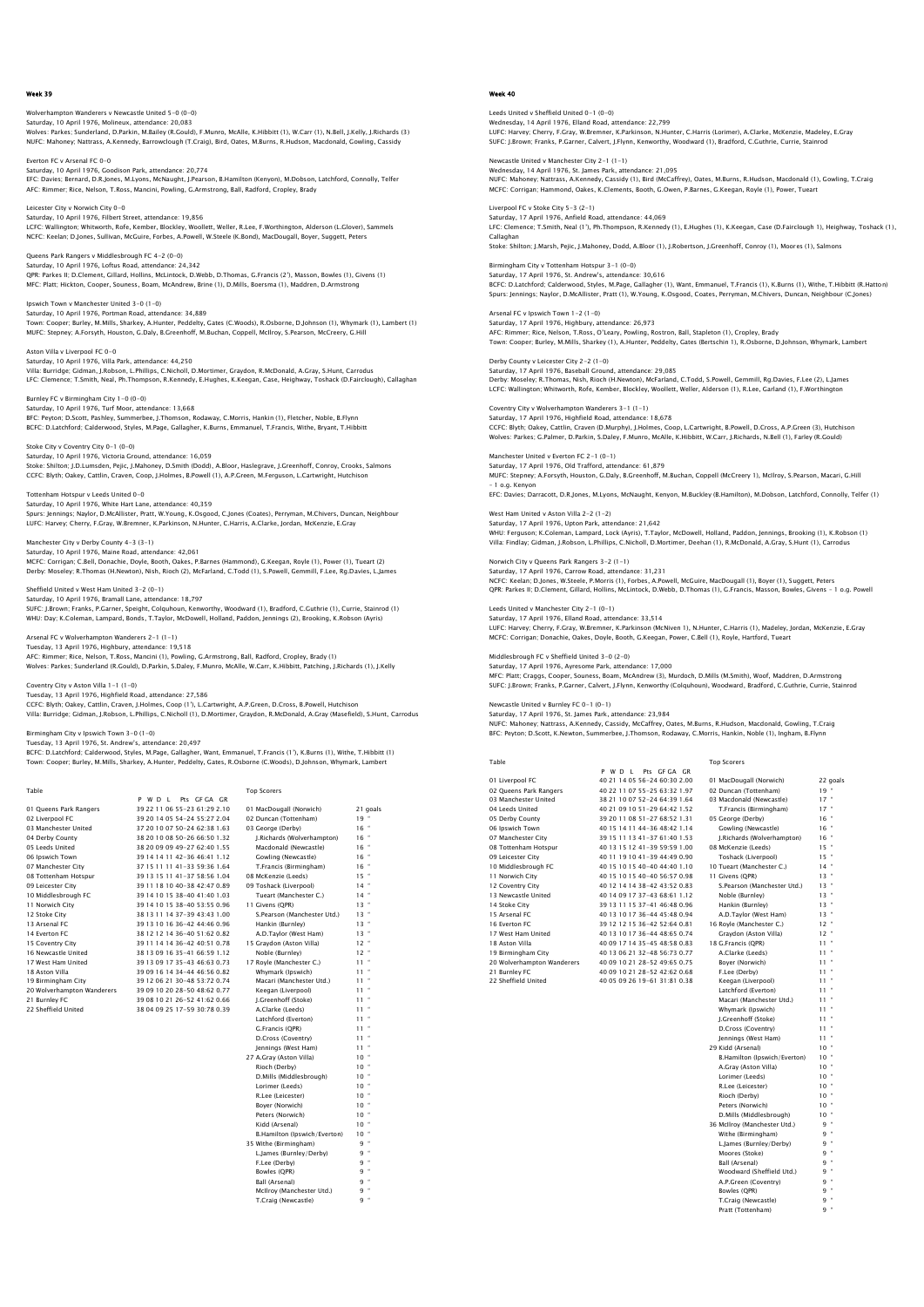## n Wanderers v Newcastle United 5-0 (0-0) Saturday, 10 April 1976, Molineux, attendance: 20,083<br>Wolves: Parkes; Sunderland, D.Parkin, M.Bailey (R.Gould), F.Munro, McAlle, K.Hibbitt (1), W.Carr (1), N.Bell, J.Kelly, J.Richards (3) NUFC: Mahoney; Nattrass, A.Kennedy, Barrowclough (T.Craig), Bird, Oates, M.Burns, R.Hudson, Macdonald, Gowling, Cassidy

Everton FC v Arsenal FC 0-0 Saturday, 10 April 1976, Goodison Park, attendance: 20,774 EFC: Davies; Bernard, D.R.Jones, M.Lyons, McNaught, J.Pearson, B.Hamilton (Kenyon), M.Dobson, Latchford, Connolly, Telfer AFC: Rimmer; Rice, Nelson, T.Ross, Mancini, Powling, G.Armstrong, Ball, Radford, Cropley, Brady

Leicester City v Norwich City 0-0 Saturday, 10 April 1976, Filbert Street, attendance: 19,856 LCFC: Wallington; Whitworth, Rofe, Kember, Blockley, Woollett, Weller, R.Lee, F.Worthington, Alderson (L.Glover), Sammels NCFC: Keelan; D.Jones, Sullivan, McGuire, Forbes, A.Powell, W.Steele (K.Bond), MacDougall, Boyer, Suggett, Peters

Queens Park Rangers v Middlesbrough FC 4-2 (0-0) Saturday, 10 April 1976, Loftus Road, attendance: 24,342 QPR: Parkes II; D.Clement, Gillard, Hollins, McLintock, D.Webb, D.Thomas, G.Francis (2'), Masson, Bowles (1), Givens (1)<br>MFC: Platt; Hickton, Cooper, Souness, Boam, McAndrew, Brine (1), D.Mills, Boersma (1), Maddren, D.Arm

lpswich Town v Manchester United 3–0 (1–0)<br>Saturday, 10 April 1976, Portman Road, attendance: 34,889<br>Town: Cooper; Burley, M.Mills, Sharkey, A.Hunter, Peddelty, Gates (C.Woods), R.Osborne, D.Johnson (1), Whymark (1), Lambe MUFC: Stepney; A.Forsyth, Houston, G.Daly, B.Greenhoff, M.Buchan, Coppell, McIlroy, S.Pearson, McCreery, G.Hill

Aston Villa v Liverpool FC 0-0 Saturday, 10 April 1976, Villa Park, attendance: 44,250 Villa: Burridge; Gidman, J.Robson, L.Phillips, C.Nicholl, D.Mortimer, Graydon, R.McDonald, A.Gray, S.Hunt, Carrodus LFC: Clemence; T.Smith, Neal, Ph.Thompson, R.Kennedy, E.Hughes, K.Keegan, Case, Heighway, Toshack (D.Fairclough), Callaghan

Burnley FC v Birmingham City 1-0 (0-0) Saturday, 10 April 1976, Turf Moor, attendance: 13,668<br>BFC: Peyton; D.Scott, Pashley, Summerbee, J.Thomson, R BFC: Peyton; D.Scott, Pashley, Summerbee, J.Thomson, Rodaway, C.Morris, Hankin (1), Fletcher, Noble, B.Flynn BCFC: D.Latchford; Calderwood, Styles, M.Page, Gallagher, K.Burns, Emmanuel, T.Francis, Withe, Bryant, T.Hibbitt

Stoke City v Coventry City 0-1 (0-0) Saturday, 10 April 1976, Victoria Ground, attendance: 16,059 Stoke: Shilton; J.D.Lumsden, Pejic, J.Mahoney, D.Smith (Dodd), A.Bloor, Haslegrave, J.Greenhoff, Conroy, Crooks, Salmons<br>CCFC: Blyth; Oakey, Cattlin, Craven, Coop, J.Holmes, B.Powell (1), A.P.Green, M.Ferguson, L.Cartwrigh

Tottenham Hotspur v Leeds United 0-0 Saturday, 10 April 1976, White Hart Lane, attendance: 40,359

Spurs: Jennings; Naylor, D.McAllister, Pratt, W.Young, K.Osgood, C.Jones (Coates), Perryman, M.Chivers, Duncan, Neighbour<br>LUFC: Harvey; Cherry, F.Gray, W.Bremner, K.Parkinson, N.Hunter, C.Harris, A.Clarke, Jordan, McKenzie

# Saturday, 10 April 1976, Maine Road, attendance: 42,061<br>MCEC: Corrigan: C. Bell. Donachie. Doyle, Booth. Oakes. P.

Manchester City v Derby County 4-3 (3-1)

MCFC: Corrigan; C.Bell, Donachie, Doyle, Booth, Oakes, P.Barnes (Hammond), G.Keegan, Royle (1), Power (1), Tueart (2)<br>Derby: Moseley; R.Thomas (H.Newton), Nish, Rioch (2), McFarland, C.Todd (1), S.Powell, Gemmill, F.Lee, R

Sheffield United v West Ham United 3-2 (0-1) Saturday, 10 April 1976, Bramall Lane, attendance: 18,797

SUFC: SUFC: J.Brown; Franks, P.G. (1), Readford, C.Guthrie (1), Currie, Stainrod (1), C.Guthrie (1), Currie, Stainrod (1), WHU: Day; K.Coleman, Lampard, Bonds, T.Taylor, McDowell, Holland, Paddon, Jennings (2), Brooking, K.Robson (Ayris)

## Arsenal FC v Wolverhampton Wanderers 2-1 (1-1)

Tuesday, 13 April 1976, Highbury, attendance: 19,518<br>AFC: Rimmer; Rice, Nelson, T.Ross, Mancini (1), Powling AFC: Rimmer; Rice, Nelson, T.Ross, Mancini (1), Powling, G.Armstrong, Ball, Radford, Cropley, Brady (1)<br>Wolves: Parkes; Sunderland (R.Gould), D.Parkin, S.Daley, F.Munro, McAlle, W.Carr, K.Hibbitt, Patching, J.Richards (1),

Coventry City v Aston Villa 1-1 (1-0) Tuesday, 13 April 1976, Highfield Road, attendance: 27,586

CCFC: Blyth; Oakey, Cattlin, Craven, J.Holmes, Coop (1'), L.Cartwright, A.P.Green, D.Cross, B.Powell, Hutchison<br>Villa: Burridge; Gidman, J.Robson, L.Phillips, C.Nicholl (1), D.Mortimer, Graydon, R.McDonald, A.Gray (Masefie

### Birmingham City v Ipswich Town 3-0 (1-0) Tuesday, 13 April 1976, St. Andrew's, attendance: 20,497

BCFC: D.Latchford; Calderwood, Styles, M.Page, Gallagher, Want, Emmanuel, T.Francis (1'), K.Burns (1), Withe, T.Hibbitt (1)<br>Town: Cooper; Burley, M.Mills, Sharkey, A.Hunter, Peddelty, Gates, R.Osborne (C.Woods), D.Johnson,

| Table                      |                                | <b>Top Scorers</b>          |                 |
|----------------------------|--------------------------------|-----------------------------|-----------------|
|                            | Pts GEGA GR<br>P W D I         |                             |                 |
| 01 Oueens Park Rangers     | 39 22 11 06 55-23 61:29 2.10   | 01 MacDougall (Norwich)     | 21 goals        |
| 02 Liverpool FC            | 39 20 14 05 54-24 55:27 2.04   | 02 Duncan (Tottenham)       | $19 -$          |
| 03 Manchester United       | 37 20 10 07 50-24 62:38 1.63   | 03 George (Derby)           | $16 -$          |
| 04 Derby County            | 38 20 10 08 50-26 66:50 1.32   | I.Richards (Wolverhampton)  | $16 -$          |
| 05 Leeds United            | 38 20 09 09 49-27 62:40 1.55   | Macdonald (Newcastle)       | $16 -$          |
| 06 Ipswich Town            | 39 14 14 11 42-36 46:41 1.12   | Gowling (Newcastle)         | $16 -$          |
| 07 Manchester City         | 37 15 11 11 41 - 33 59 36 1.64 | T.Francis (Birmingham)      | $16 -$          |
| 08 Tottenham Hotspur       | 39 13 15 11 41 - 37 58 56 1.04 | 08 McKenzie (Leeds)         | $15 -$          |
| 09 Leicester City          | 39 11 18 10 40-38 42:47 0.89   | 09 Toshack (Liverpool)      | $14$ $-$        |
| 10 Middlesbrough FC        | 39 14 10 15 38-40 41:40 1.03   | Tueart (Manchester C.)      | $14 -$          |
| 11 Norwich City            | 39 14 10 15 38-40 53:55 0.96   | 11 Givens (OPR)             | $13 -$          |
| 12 Stoke City              | 38 13 11 14 37-39 43:43 1.00   | S.Pearson (Manchester Utd.) | $13 -$          |
| 13 Arsenal FC              | 39 13 10 16 36-42 44:46 0.96   | Hankin (Burnley)            | $13 -$          |
| 14 Everton EC              | 38 12 12 14 36-40 51:62 0.82   | A.D.Taylor (West Ham)       | $13 -$          |
| 15 Coventry City           | 39 11 14 14 36-42 40 51 0.78   | 15 Gravdon (Aston Villa)    | $12$ $-$        |
| 16 Newcastle United        | 38 13 09 16 35-41 66:59 1.12   | Noble (Burnley)             | $12 -$          |
| 17 West Ham United         | 39 13 09 17 35-43 46:63 0.73   | 17 Royle (Manchester C.)    | $11 -$          |
| 18 Aston Villa             | 39 09 16 14 34-44 46:56 0.82   | Whymark (Ipswich)           | $11 -$          |
| 19 Birmingham City         | 39 12 06 21 30-48 53:72 0.74   | Macari (Manchester Utd.)    | $11 -$          |
| 20 Wolverhampton Wanderers | 39 09 10 20 28-50 48:62 0.77   | Keegan (Liverpool)          | $11 -$          |
| 21 Burnley FC              | 39 08 10 21 26-52 41:62 0.66   | I.Greenhoff (Stoke)         | $11 -$          |
| 22 Sheffield United        | 38 04 09 25 17-59 30:78 0.39   | A.Clarke (Leeds)            | $11 -$          |
|                            |                                | Latchford (Everton)         | $11 -$          |
|                            |                                | G.Francis (OPR)             | $11 -$          |
|                            |                                | D.Cross (Coventry)          | $11 -$          |
|                            |                                | Iennings (West Ham)         | $11 -$          |
|                            |                                | 27 A Crow (Actor Ville)     | 10 <sup>2</sup> |

Francis (QPR) 11<br>Cross (Coventry) 11 D.Cross (Coventry) 11 " ennings (West Ham) 11<br>Jenny (Aston Villa) 10 27 A.Gray (Aston Villa) 10 " Rioch (Derby) 10 " D.Mills (Middlesbrough) 10 " A.Gray (Aston Villa)<br>
Rioch (Derby) 10<br>
10 "D.Mills (Middlesbrough) 10<br>
10 "Lorimer (Leeds) 10<br>
R.Lee (Leicester) 10 R.Lee (Leicester) Boyer (Norwich) 10 " Peters (Norwich) 10 " Kidd (Arsenal) 10 " B.Hamilton (Ipswich/Everton) 10 35 Withe (Birmingham) 9 " L.James (Burnley/Derby) 9 " F.Lee (Derby) 9 " Bowles (QPR) 9 " Ball (Arsenal) 9 "

> McIlroy (Manchester Utd.) T.Craig (Newcastle)

## Week 40

Leeds United v Sheffield United 0-1 (0-0) Wednesday, 14 April 1976, Elland Road, attendance: 22,799 LUFC: Harvey; Cherry, F.Gray, W.Bremner, K.Parkinson, N.Hunter, C.Harris (Lorimer), A.Clarke, McKenzie, Madeley, E.Gray SUFC: J.Brown; Franks, P.Garner, Calvert, J.Flynn, Kenworthy, Woodward (1), Bradford, C.Guthrie, Currie, Stainrod

Newcastle United v Manchester City 2–1 (1–1)<br>Wednesday, 14 April 1976, St. James Park, attendance: 21,095<br>NUFC: Mahoney: Nattrass, A.Kennedy, Cassidy (1), Bird (McCaffrey), Oates, M.Burns, R.Hudson, Macdonald (1), Gowling, MCFC: Corrigan; Hammond, Oakes, K.Clements, Booth, G.Owen, P.Barnes, G.Keegan, Royle (1), Power, Tueart

Liverpool FC v Stoke City 5-3 (2-1) Saturday, 17 April 1976, Anfield Road, attendance: 44,069 LFC: Clemence; T.Smith, Neal (1'), Ph.Thompson, R.Kennedy (1), E.Hughes (1), K.Keegan, Case (D.Fairclough 1), Heighway, Toshack (1), Callaghan

Stoke: Shilton; J.Marsh, Pejic, J.Mahoney, Dodd, A.Bloor (1), J.Robertson, J.Greenhoff, Conroy (1), Moores (1), Salmons

Birmingham City v Tottenham Hotspur 3-1 (0-0) Saturday, 17 April 1976, St. Andrew's, attendance: 30,616<br>BCFC: D.Latchford; Calderwood, Styles, M.Page, Gallagher (1), Want, Emmanuel, T.Francis (1), K.Burns (1), Withe, T.Hibbitt (R.Hatton)<br>Spurs: Jennings: Naylor, D.McA

Arsenal FC v Ipswich Town 1-2 (1-0) enal FC v ipswich 16wii 174 (1767)<br>urday, 17 April 1976, Highbury, attendance: 26,973 AFC: Rimmer; Rice, Nelson, T.Ross, O'Leary, Powling, Rostron, Ball, Stapleton (1), Cropley, Brady Town: Cooper; Burley, M.Mills, Sharkey (1), A.Hunter, Peddelty, Gates (Bertschin 1), R.Osborne, D.Johnson, Whymark, Lambert

Derby County v Leicester City 2-2 (1-0) Saturday, 17 April 1976, Baseball Ground, attendance: 29,085 Derby: Moseley; R.Thomas, Nish, Rioch (H.Newton), McFarland, C.Todd, S.Powell, Gemmill, Rg.Davies, F.Lee (2), L.James<br>LCFC: Wallington; Whitworth, Rofe, Kember, Blockley, Woollett, Weller, Alderson (1), R.Lee, Garland (1),

Coventry City v Wolverhampton Wanderers 3-1 (1-1) Saturday, 17 April 1976, Highfield Road, attendance: 18,678 CCFC: Blyth; Oakey, Cattlin, Craven (D.Murphy), J.Holmes, Coop, L.Cartwright, B.Powell, D.Cross, A.P.Green (3), Hutchisor<br>Wolves: Parkes; G.Palmer, D.Parkin, S.Daley, F.Munro, McAlle, K.Hibbitt, W.Carr, J.Richards, N.Bell

Manchester United v Everton FC 2–1 (0–1)<br>Saturday, 17 April 1976, Old Trafford, attendance: 61,879<br>MUFC: Stepney; A.Forsyth, Houston, G.Daly, B.Greenhoff, M.Buchan, Coppell (McCreery 1), McIlroy, S.Pearson, Macari, G.Hill – 1 o.g. Kenyon EFC: Davies; Darracott, D.R.Jones, M.Lyons, McNaught, Kenyon, M.Buckley (B.Hamilton), M.Dobson, Latchford, Connolly, Telfer (1)

West Ham United v Aston Villa 2-2 (1-2) Saturday, 17 April 1976, Upton Park, attendance: 21,642

WHU: Ferguson; K.Coleman, Lampard, Lock (Ayris), T.Taylor, McDowell, Holland, Paddon, Jennings, Brooking (1), K.Robson (1) Villa: Findlay; Gidman, J.Robson, L.Phillips, C.Nicholl, D.Mortimer, Deehan (1), R.McDonald, A.Gray, S.Hunt (1), Carrodus

Norwich City v Queens Park Rangers 3-2 (1-1) Saturday, 17 April 1976, Carrow Road, attendance: 31,231 NCFC: Keelan; D.Jones, W.Steele, P.Morris (1), Forbes, A.Powell, McGuire, MacDougall (1), Boyer (1), Suggett, Peters<br>QPR: Parkes II; D.Clement, Gillard, Hollins, McLintock, D.Webb, D.Thomas (1), G.Francis, Masson, Bowles,

Leeds United v Manchester City 2-1 (0-1) Saturday, 17 April 1976, Elland Road, attendance: 33,514 LUFC: Harvey; Cherry, F.Gray, W.Bremner, K.Parkinson (McNiven 1), N.Hunter, C.Harris (1), Madeley, Jordan, McKenzie, E.Gray MCFC: Corrigan; Donachie, Oakes, Doyle, Booth, G.Keegan, Power, C.Bell (1), Royle, Hartford, Tueart

igh FC v Sheffield United 3-0 (2-0)

Saturday, 17 April 1976, Ayresome Park, attendance: 17,000 MFC: Platt; Craggs, Cooper, Souness, Boam, McAndrew (3), Murdoch, D.Mills (M.Smith), Woof, Maddren, D.Armstrong SUFC: J.Brown; Franks, P.Garner, Calvert, J.Flynn, Kenworthy (Colquhoun), Woodward, Bradford, C.Guthrie, Currie, Stainrod

Newcastle United v Burnley FC 0–1 (0–1)<br>Saturday, 17 April 1976, St. James Park, attendance: 23,984<br>NUFC: Mahoney, Nattrass, A.Kennedy, Cassidy, McCaffrey, Oates, M.Burns, R.Hudson, Macdonald, Gowling, T.Craig<br>BFC: Pevton;

| Table                      |                              | <b>Top Scorers</b>          |          |
|----------------------------|------------------------------|-----------------------------|----------|
|                            | Pts GEGA GR<br>P W D I       |                             |          |
| 01 Liverpool FC            | 40 21 14 05 56-24 60:30 2.00 | 01 MacDougall (Norwich)     | 22 goals |
| 02 Oueens Park Rangers     | 40 22 11 07 55-25 63:32 1.97 | 02 Duncan (Tottenham)       | $19 -$   |
| 03 Manchester United       | 38 21 10 07 52-24 64:39 1.64 | 03 Macdonald (Newcastle)    | $17 -$   |
| 04 Leeds United            | 40 21 09 10 51-29 64:42 1.52 | T.Francis (Birmingham)      | $17 -$   |
| 05 Derby County            | 39 20 11 08 51-27 68:52 1.31 | 05 George (Derby)           | $16 -$   |
| 06 Ipswich Town            | 40 15 14 11 44-36 48:42 1.14 | Gowling (Newcastle)         | $16 -$   |
| 07 Manchester City         | 39 15 11 13 41-37 61:40 1.53 | I.Richards (Wolverhampton)  | $16 -$   |
| 08 Tottenham Hotspur       | 40 13 15 12 41-39 59:59 1.00 | 08 McKenzie (Leeds)         | $15 -$   |
| 09 Leicester City          | 40 11 19 10 41-39 44:49 0.90 | Toshack (Liverpool)         | $15 -$   |
| 10 Middlesbrough FC        | 40 15 10 15 40-40 44:40 1.10 | 10 Tueart (Manchester C.)   | $14 -$   |
| 11 Norwich City            | 40 15 10 15 40-40 56:57 0.98 | 11 Givens (OPR)             | $13 -$   |
| 12 Coventry City           | 40 12 14 14 38-42 43:52 0.83 | S.Pearson (Manchester Utd.) | $13 -$   |
| 13 Newcastle United        | 40 14 09 17 37-43 68:61 1.12 | Noble (Burnley)             | $13 -$   |
| 14 Stoke City              | 39 13 11 15 37-41 46:48 0.96 | Hankin (Burnley)            | $13 -$   |
| 15 Arsenal FC              | 40 13 10 17 36-44 45:48 0.94 | A.D.Tavlor (West Ham)       | $13 -$   |
| 16 Everton EC              | 39 12 12 15 36-42 52:64 0.81 | 16 Rovle (Manchester C.)    | $12$ $-$ |
| 17 West Ham United         | 40 13 10 17 36-44 48:65 0.74 | Graydon (Aston Villa)       | $12 -$   |
| 18 Aston Villa             | 40 09 17 14 35-45 48:58 0.83 | 18 G.Francis (OPR)          | $11 -$   |
| 19 Birmingham City         | 40 13 06 21 32-48 56:73 0.77 | A.Clarke (Leeds)            | $11 -$   |
| 20 Wolverhampton Wanderers | 40 09 10 21 28-52 49:65 0.75 | Bover (Norwich)             | $11 -$   |
| 21 Burnley FC              | 40 09 10 21 28-52 42:62 0.68 | F.Lee (Derby)               | $11 -$   |
| 22 Sheffield United        | 40 05 09 26 19-61 31:81 0.38 | Keegan (Liverpool)          | $11 -$   |
|                            |                              | Latchford (Everton)         | $11 -$   |
|                            |                              | Macari (Manchester Utd.)    | $11 -$   |
|                            |                              | Whymark (Ipswich)           | $11 -$   |
|                            |                              | I.Greenhoff (Stoke)         | $11 -$   |
|                            |                              | D.Cross (Coventry)          | $11 -$   |
|                            |                              |                             |          |

| Boyer (Norwich)              | ×<br>11      |
|------------------------------|--------------|
| F.Lee (Derby)                | ł<br>11      |
| Keegan (Liverpool)           | ł<br>11      |
| Latchford (Everton)          | ł<br>11      |
| Macari (Manchester Utd.)     | ł<br>$^{11}$ |
| Whymark (Ipswich)            | ł<br>11      |
| I.Greenhoff (Stoke)          | ł<br>11      |
| D.Cross (Coventry)           | ł<br>11      |
| Jennings (West Ham)          | ł<br>11      |
| 29 Kidd (Arsenal)            | ł<br>10      |
| B.Hamilton (Ipswich/Everton) | ł<br>10      |
| A.Grav (Aston Villa)         | f<br>10      |
| Lorimer (Leeds)              | ł<br>10      |
| R.Lee (Leicester)            | ł<br>10      |
| Rioch (Derby)                | ł<br>10      |
| Peters (Norwich)             | ł<br>10      |
| D.Mills (Middlesbrough)      | ł<br>10      |
| 36 McIlroy (Manchester Utd.) | ł<br>9       |
| Withe (Birmingham)           | ł<br>9       |
| L.James (Burnley/Derby)      | ł<br>9       |
| Moores (Stoke)               | ł<br>9       |
| <b>Ball (Arsenal)</b>        | ł<br>9       |
| Woodward (Sheffield Utd.)    | ł<br>9       |
| A.P.Green (Coventry)         | ł<br>9       |
| Bowles (OPR)                 | ł<br>q       |
| T.Craig (Newcastle)          | ı<br>q       |

Pratt (To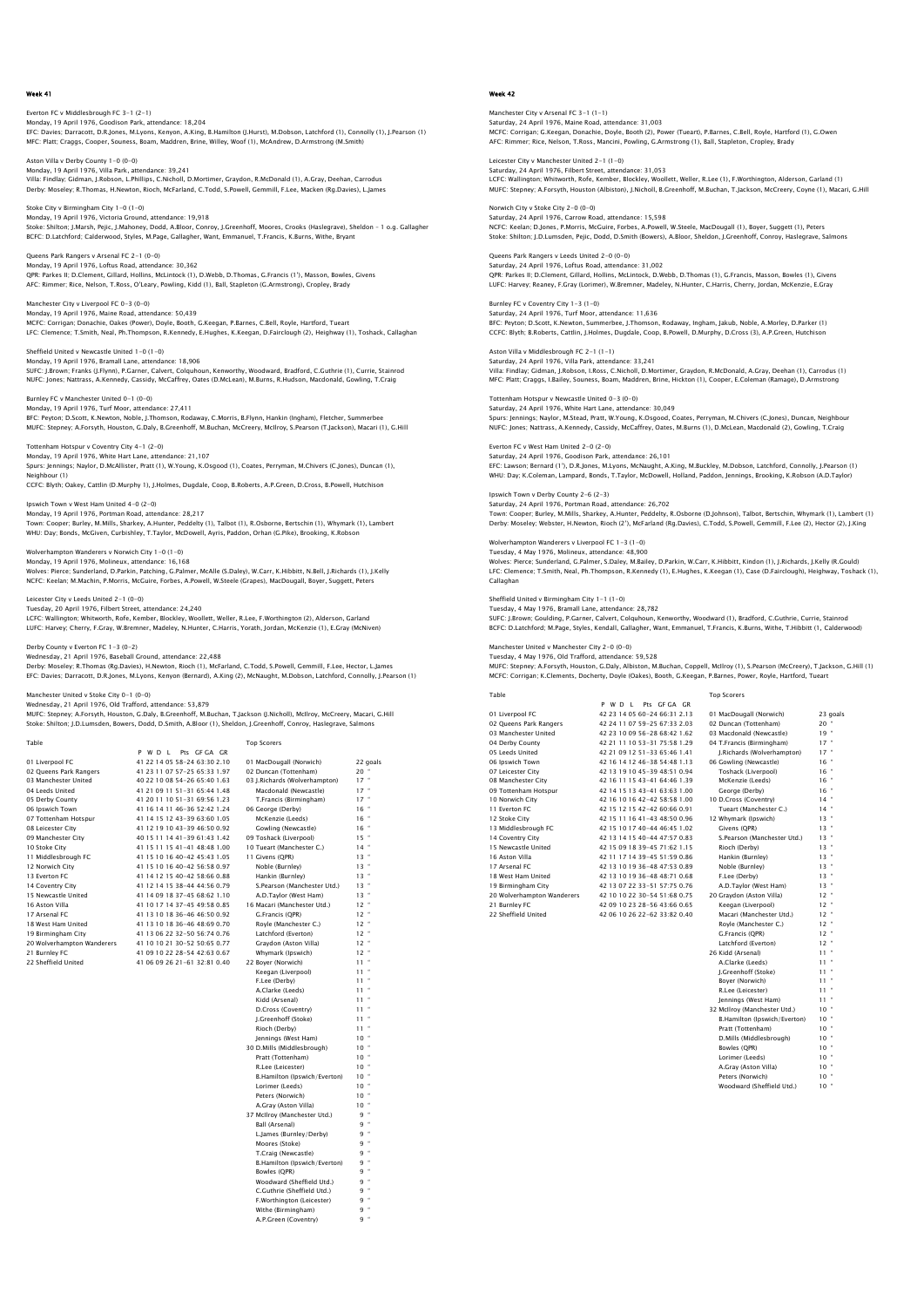## Everton FC v Middlesbrough FC 3-1 (2-1) Monday, 19 April 1976, Goodison Park, attendance: 18,204 EFC: Davies; Darracott, D.R.Jones, M.Lyons, Kenyon, A.King, B.Hamilton (J.Hurst), M.Dobson, Latchford (1), Connolly (1), J.Pearson (1) MFC: Platt; Craggs, Cooper, Souness, Boam, Maddren, Brine, Willey, Woof (1), McAndrew, D.Armstrong (M.Smith)

Aston Villa v Derby County 1–0 (0–0)<br>Monday, 19 April 1976, Villa Park, attendance: 39,241<br>Villa: Findlay; Gidman, J.Robson, L.Phillips, C.Nicholl, D.Mortimer, Graydon, R.McDonald (1), A.Gray, Deehan, Carrodus Derby: Moseley; R.Thomas, H.Newton, Rioch, McFarland, C.Todd, S.Powell, Gemmill, F.Lee, Macken (Rg.Davies), L.James

Stoke City v Birmingham City 1-0 (1-0) Monday, 19 April 1976, Victoria Ground, attendance: 19,918 Stoke: Shilton; J.Marsh, Pejic, J.Mahoney, Dodd, A.Bloor, Conroy, J.Greenhoff, Moores, Crooks (Haslegrave), Sheldon - 1 o.g. Gallaghei<br>BCFC: D.Latchford; Calderwood, Styles, M.Page, Gallagher, Want, Emmanuel, T.Francis, K.

Queens Park Rangers v Arsenal FC 2-1 (0-0)<br>Monday 19 April 1976, Loftus Poad, attendance: 30.362 کی د عدد سینمان و Monday, 19 April 1976, Loftus Road, atten QPR: Parkes II; D.Clement, Gillard, Hollins, McLintock (1), D.Webb, D.Thomas, G.Francis (1'), Masson, Bowles, Givens<br>AFC: Rimmer; Rice, Nelson, T.Ross, O'Leary, Powling, Kidd (1), Ball, Stapleton (G.Armstrong), Cropley, Br

Monday, 19 April 1976, Maine Road, attendance: 50,439 MCFC: Corrigan; Donachie, Oakes (Power), Doyle, Booth, G.Keegan, P.Barnes, C.Bell, Royle, Hartford, Tueart LFC: Clemence; T.Smith, Neal, Ph.Thompson, R.Kennedy, E.Hughes, K.Keegan, D.Fairclough (2), Heighway (1), Toshack, Callaghan

## Sheffield United v Newcastle United  $1-0(1-0)$ <br>Monday 19 April 1976, Bramall Lane, attendance: 18 906

Manchester City v Liverpool FC 0-3 (0-0)

Monday, 19 April 1976, Bramall Lane, attendance: 18,906<br>Monday, 19 April 1976, Bramall Lane, attendance: 18,906<br>SUFC: J.Brown; Franks (J.Flynn), P.Garner, Calvert, Colqu -<br>oun, Kenworthy, Woodward, Bradford, C.Guthrie (1), Currie. Stainrod NUFC: Jones; Nattrass, A.Kennedy, Cassidy, McCaffrey, Oates (D.McLean), M.Burns, R.Hudson, Macdonald, Gowling, T.Craig Burnley FC v Manchester United 0-1 (0-0)

Monday, 19 April 1976, Turf Moor, attendance: 27,411 BFC: Peyton; D.Scott, K.Newton, Noble, J.Thomson, Rodaway, C.Morris, B.Flynn, Hankin (Ingham), Fletcher, Summerbee MUFC: Stepney; A.Forsyth, Houston, G.Daly, B.Greenhoff, M.Buchan, McCreery, McIlroy, S.Pearson (T.Jackson), Macari (1), G.Hill

## Tottenham Hotspur v Coventry City 4-1 (2-0)

Monday, 19 April 1976, White Hart Lane, attendance: 21,107 rs Aprii 1976, white Hart Lane, attendance: 21,107<br>inings; Naylor, D.McAllister, Pratt (1), W.Young, K.Osgood (1), Coates, Perryman, M.Chivers (C.Jones), Duncan (1), Neighbour (1)

CCFC: Blyth; Oakey, Cattlin (D.Murphy 1), J.Holmes, Dugdale, Coop, B.Roberts, A.P.Green, D.Cross, B.Powell, Hutchison Ipswich Town v West Ham United 4-0 (2-0)

Monday, 19 April 1976, Portman Road, attendance: 28,217<br>Town: Cooper; Burley, M.Mills, Sharkey, A.Hunter, Peddelty (1), Talbot (1), R.Osborne, Bertschin (1), Whymark (1), Lambert<br>WHU: Day; Bonds, McGiven, Curbishley, T.Tay

Wolverhampton Wanderers v Norwich City 1-0 (1-0)

Monday, 19 April 1976, Molineux, attendance: 16,168<br>Wolves: Pierce; Sunderland, D.Parkin, Patching, G.Palmer, McAlle (S.Daley), W.Carr, K.Hibbitt, N.Bell, J.Richards (1), J.Kelly<br>NCFC: Keelan; M.Machin, P.Morris, McGuire,

## Leicester City v Leeds United 2-1 (0-0)

Tuesday, 20 April 1976, Filbert Street, attendance: 24,240 LCFC: Wallington; Whitworth, Rofe, Kember, Blockley, Woollett, Weller, R.Lee, F.Worthington (2), Alderson, Garland<br>LUFC: Harvey; Cherry, F.Gray, W.Bremner, Madeley, N.Hunter, C.Harris, Yorath, Jordan, McKenzie (1), E.Gray

### Derby County v Everton FC 1-3 (0-2)

Wednesday, 21 April 1976, Baseball Ground, attendance: 22,488<br>Derby: Moseley; R.Thomas (Rg.Davies), H.Newton, Rioch (1), McFarland, C.Todd, S.Powell, Gemmill, F.Lee, Hector, L.James<br>EFC: Davies: Darracott, D.R.Jones, M.Lyo

## Manchester United v Stoke City 0-1 (0-0)

Wednesday, 21 April 1976, Old Trafford, attendance: 53,879<br>MUFC: Stepney: A.Forsyth, Houston, G.Daly, B.Greenhoff, M.Buchan, T.Jackson (J.Nicholl), McIIroy, McCreery, Macari, G.Hill<br>Stoke: Shilton: J.D.Lumsden, Bowers, Dod

P W D L Pts GF GA GR

| Table | <b>Top Scorers</b> |
|-------|--------------------|

| 01 Liverpool FC            | 41 22 14 05 58-24 63:30 2.10    | 01 MacDougall (Norwich)       | 22 goals       |
|----------------------------|---------------------------------|-------------------------------|----------------|
| 02 Oueens Park Rangers     | 41 23 11 07 57-25 65:33 1.97    | 02 Duncan (Tottenham)         | $20$ $\degree$ |
| 03 Manchester United       | 40 22 10 08 54-26 65:40 1.63    | 03 I.Richards (Wolverhampton) | $17 -$         |
| 04 Leeds United            | 41 21 09 11 51 - 31 65:44 1.48  | Macdonald (Newcastle)         | $17 -$         |
| 05 Derby County            | 41 20 11 10 51 - 31 69:56 1.23  | T.Francis (Birmingham)        | $17 -$         |
| 06 Ipswich Town            | 41 16 14 11 46-36 52:42 1.24    | 06 George (Derby)             | $16$ $*$       |
| 07 Tottenham Hotspur       | 41 14 15 12 43-39 63:60 1.05    | McKenzie (Leeds)              | $16$ $*$       |
| 08 Leicester City          | 41 12 19 10 43-39 46:50 0.92    | Gowling (Newcastle)           | $16 -$         |
| 09 Manchester City         | 40 15 11 14 41 - 39 61 43 1.42  | 09 Toshack (Liverpool)        | $15 -$         |
| 10 Stoke City              | 41 15 11 15 41 - 41 48: 48 1.00 | 10 Tueart (Manchester C.)     | $14 -$         |
| 11 Middlesbrough FC        | 41 15 10 16 40-42 45:43 1.05    | 11 Givens (OPR)               | $13 -$         |
| 12 Norwich City            | 41 15 10 16 40-42 56:58 0.97    | Noble (Burnley)               | $13 -$         |
| 13 Everton FC              | 41 14 12 15 40-42 58:66 0.88    | Hankin (Burnley)              | $13 -$         |
| 14 Coventry City           | 41 12 14 15 38-44 44 56 0.79    | S.Pearson (Manchester Utd.)   | $13 -$         |
| 15 Newcastle United        | 41 14 09 18 37-45 68:62 1.10    | A.D.Taylor (West Ham)         | $13 -$         |
| 16 Aston Villa             | 41 10 17 14 37-45 49:58 0.85    | 16 Macari (Manchester Utd.)   | $12 -$         |
| 17 Arsenal FC              | 41 13 10 18 36-46 46:50 0.92    | G.Francis (OPR)               | $12 -$         |
| 18 West Ham United         | 41 13 10 18 36-46 48:69 0.70    | Rovle (Manchester C.)         | $12 -$         |
| 19 Birmingham City         | 41 13 06 22 32-50 56:74 0.76    | Latchford (Everton)           | $12 -$         |
| 20 Wolverhampton Wanderers | 41 10 10 21 30-52 50:65 0.77    | Gravdon (Aston Villa)         | $12 -$         |
| 21 Burnley FC              | 41 09 10 22 28-54 42:63 0.67    | Whymark (Ipswich)             | $12 -$         |
| 22 Sheffield United        | 41 06 09 26 21-61 32:81 0.40    | 22 Bover (Norwich)            | $11 -$         |
|                            |                                 | Keegan (Liverpool)            | $11 -$         |
|                            |                                 | F.Lee (Derby)                 | $11 -$         |

## Week 42

Manchester City v Arsenal FC 3-1 (1-1) Saturday, 24 April 1976, Maine Road, attendance: 31,003 MCFC: Corrigan; G.Keegan, Donachie, Doyle, Booth (2), Power (Tueart), P.Barnes, C.Bell, Royle, Hartford (1), G.Owen AFC: Rimmer; Rice, Nelson, T.Ross, Mancini, Powling, G.Armstrong (1), Ball, Stapleton, Cropley, Brady

Leicester City v Manchester United 2-1 (1-0) Saturday, 24 April 1976, Filbert Street, attendance: 31,053 LCFC: Wallington; Whitworth, Rofe, Kember, Blockley, Woollett, Weller, R.Lee (1), F.Worthington, Alderson, Garland (1) MUFC: Stepney; A.Forsyth, Houston (Albiston), J.Nicholl, B.Greenhoff, M.Buchan, T.Jackson, McCreery, Coyne (1), Macari, G.Hill

Norwich City v Stoke City 2-0 (0-0) Saturday, 24 April 1976, Carrow Road, attendance: 15,598 NCFC: Keelan; D.Jones, P.Morris, McGuire, Forbes, A.Powell, W.Steele, MacDougall (1), Boyer, Suggett (1), Peters Stoke: Shilton; J.D.Lumsden, Pejic, Dodd, D.Smith (Bowers), A.Bloor, Sheldon, J.Greenhoff, Conroy, Haslegrave, Salmons

Queens Park Rangers v Leeds United 2-0 (0-0)<br>Saturday, 24 April 1976, Loftus Road, attendance: 31,002 Saturday, 24 April 1976, Loftus Road, attendance: 31,002 QPR: Parkes II; D.Clement, Gillard, Hollins, McLintock, D.Webb, D.Thomas (1), G.Francis, Masson, Bowles (1), Givens<br>LUFC: Harvey; Reaney, F.Gray (Lorimer), W.Bremner, Madeley, N.Hunter, C.Harris, Cherry, Jordan, McKenzie,

Burnley FC v Coventry City 1-3 (1-0) Saturday, 24 April 1976, Turf Moor, attendance: 11,636 BFC: Peyton; D.Scott, K.Newton, Summerbee, J.Thomson, Rodaway, Ingham, Jakub, Noble, A.Morley, D.Parker (1) CCFC: Blyth; B.Roberts, Cattlin, J.Holmes, Dugdale, Coop, B.Powell, D.Murphy, D.Cross (3), A.P.Green, Hutchison

Saturday, 24 April 1976, Villa Park, attendance: 33,241 Villa: Findlay; Gidman, J.Robson, I.Ross, C.Nicholl, D.Mortimer, Graydon, R.McDonald, A.Gray, Deehan (1), Carrodus (1) MFC: Platt; Craggs, I.Bailey, Souness, Boam, Maddren, Brine, Hickton (1), Cooper, E.Coleman (Ramage), D.Armstrong Tottenham Hotspur v Newcastle United 0-3 (0-0)

Saturday, 24 April 1976, White Hart Lane, attendance: 30,049<br>Spurs: Jennings; Naylor, M.Stead, Pratt, W.Young, K.Osgood, Coates, Perryman, M.Chivers (C.Jones), Duncan, Neighbour<br>NUFC: Jones; Nattrass, A.Kennedy, Cassidy, M

## Everton FC v West Ham United 2-0 (2-0)<br>Estudou 24 April 1976, Coodicon Bark, attordance: 26 191

Aston Villa v Middlesbrough FC 2-1 (1-1)

Saturday, 24 April 1976, Goodison Park, attendance: 26,101<br>EFC: Lawson; Bernard (17), D.R.Jones, M.Lyons, McNaught, A.King, M.Buckley, M.Dobson, Latchford, Connolly, J.Pearson (1)<br>WHU: Day; K.Coleman, Lampard, Bonds, T.Tay

### Ipswich Town v Derby County 2-6 (2-3)

Saturday, 24 April 1976, Portman Road, attendance: 26,702 Town: Cooper; Burley, M.Mills, Sharkey, A.Hunter, Peddelty, R.Osborne (D.Johnson), Talbot, Bertschin, Whymark (1), Lambert (1)<br>Derby: Moseley; Webster, H.Newton, Rioch (2'), McFarland (Rq.Davies), C.Todd, S.Powell, Gemmill

## Wolverhampton Wanderers v Liverpool FC 1-3 (1-0)

Tuesday, 4 May 1976, Molineux, attendance: 48,900 Wolves: Pierce; Sunderland, G.Palmer, S.Daley, M.Bailey, D.Parkin, W.Carr, K.Hibbitt, Kindon (1), J.Richards, J.Kelly (R.Gould)<br>LFC: Clemence; T.Smith, Neal, Ph.Thompson, R.Kennedy (1), E.Hughes, K.Keegan (1), Case (D.Fair Callaghan

## Sheffield United v Birmingham City 1-1 (1-0) Tuesday, 4 May 1976, Bramall Lane, attendance: 28,782

SUFC: J.Brown; Goulding, P.Garner, Calvert, Colquhoun, Kenworthy, Woodward (1), Bradford, C.Guthrie, Currie, Stainrod<br>BCFC: D.Latchford; M.Paqe, Styles, Kendall, Gallaqher, Want, Emmanuel, T.Francis, K.Burns, Withe, T.Hibb

## Manchester United v Manchester City 2-0 (0-0)

Tuesday, 4 May 1976, Old Trafford, attendance: 59,528<br>MUFC: Stepney: A.Forsyth, Houston, G.Daly, Albiston, M.Buchan, Coppell, McIlroy (1), S.Pearson (McCreery), T.Jackson, G.Hill (1)<br>MCFC: Corrigan: K.Clements, Docherty, D

| <b>Table</b> |  |  |  |
|--------------|--|--|--|

|                            | Pts GEGA GR<br>P W D I       |                             |          |
|----------------------------|------------------------------|-----------------------------|----------|
| 01 Liverpool FC            | 42 23 14 05 60-24 66:31 2.13 | 01 MacDougall (Norwich)     | 23 goals |
| 02 Oueens Park Rangers     | 42 24 11 07 59-25 67:33 2.03 | 02 Duncan (Tottenham)       | $20 -$   |
| 03 Manchester United       | 42 23 10 09 56-28 68:42 1.62 | 03 Macdonald (Newcastle)    | $19 -$   |
| 04 Derby County            | 42 21 11 10 53-31 75:58 1.29 | 04 T.Francis (Birmingham)   | $17 -$   |
| 05 Leeds United            | 42 21 09 12 51-33 65:46 1.41 | J.Richards (Wolverhampton)  | $17 -$   |
| 06 Ipswich Town            | 42 16 14 12 46-38 54:48 1.13 | 06 Gowling (Newcastle)      | $16$ $*$ |
| 07 Leicester City          | 42 13 19 10 45-39 48:51 0.94 | Toshack (Liverpool)         | $16$ $*$ |
| 08 Manchester City         | 42 16 11 15 43-41 64:46 1.39 | McKenzie (Leeds)            | $16 -$   |
| 09 Tottenham Hotspur       | 42 14 15 13 43-41 63:63 1.00 | George (Derby)              | $16$ $*$ |
| 10 Norwich City            | 42 16 10 16 42-42 58:58 1.00 | 10 D.Cross (Coventry)       | $14 -$   |
| 11 Everton EC              | 42 15 12 15 42-42 60:66 0.91 | Tueart (Manchester C.)      | $14 -$   |
| 12 Stoke City              | 42 15 11 16 41-43 48:50 0.96 | 12 Whymark (Ipswich)        | $13 -$   |
| 13 Middlesbrough FC        | 42 15 10 17 40-44 46:45 1.02 | Givens (QPR)                | $13 -$   |
| 14 Coventry City           | 42 13 14 15 40-44 47:57 0.83 | S.Pearson (Manchester Utd.) | $13 -$   |
| 15 Newcastle United        | 42 15 09 18 39-45 71 62 1.15 | Rioch (Derby)               | $13 -$   |
| 16 Aston Villa             | 42 11 17 14 39-45 51 59 0.86 | Hankin (Burnley)            | $13 -$   |
| 17 Arsenal FC              | 42 13 10 19 36-48 47:53 0.89 | Noble (Burnley)             | $13 -$   |
| 18 West Ham United         | 42 13 10 19 36-48 48 71 0.68 | F.Lee (Derby)               | $13 -$   |
| 19 Birmingham City         | 42 13 07 22 33-51 57:75 0.76 | A.D.Tavlor (West Ham)       | $13 -$   |
| 20 Wolverhampton Wanderers | 42 10 10 22 30-54 51:68 0.75 | 20 Graydon (Aston Villa)    | $12 -$   |
| 21 Burnley FC              | 42 09 10 23 28-56 43:66 0.65 | Keegan (Liverpool)          | $12 -$   |
| 22 Sheffield United        | 42.06.10.26.22-62.33:82.0.40 | Macari (Manchester Litd.)   | $12 -$   |

Top Scorers

| 03 Manchester United       | 42 23 10 09 56-28 68:42 1.62 | 03 Macdonald (Newcastle)     | 19'             |
|----------------------------|------------------------------|------------------------------|-----------------|
| 04 Derby County            | 42 21 11 10 53-31 75:58 1.29 | 04 T.Francis (Birmingham)    | 17'             |
| 05 Leeds United            | 42 21 09 12 51-33 65:46 1.41 | J.Richards (Wolverhampton)   | 17'             |
| 06 Ipswich Town            | 42 16 14 12 46-38 54:48 1.13 | 06 Gowling (Newcastle)       | $16-1$          |
| 07 Leicester City          | 42 13 19 10 45-39 48:51 0.94 | Toshack (Liverpool)          | 16 <sup>1</sup> |
| 08 Manchester City         | 42 16 11 15 43-41 64:46 1.39 | McKenzie (Leeds)             | 16 <sup>1</sup> |
| 09 Tottenham Hotspur       | 42 14 15 13 43-41 63:63 1.00 | George (Derby)               | 16 <sup>1</sup> |
| 10 Norwich City            | 42 16 10 16 42-42 58:58 1.00 | 10 D.Cross (Coventry)        | 14              |
| 11 Everton FC              | 42 15 12 15 42-42 60:66 0.91 | Tueart (Manchester C.)       | 14              |
| 12 Stoke City              | 42 15 11 16 41-43 48:50 0.96 | 12 Whymark (Ipswich)         | 13'             |
| 13 Middlesbrough FC        | 42 15 10 17 40-44 46:45 1.02 | Givens (QPR)                 | 13'             |
| 14 Coventry City           | 42 13 14 15 40-44 47:57 0.83 | S.Pearson (Manchester Utd.)  | 13'             |
| 15 Newcastle United        | 42 15 09 18 39-45 71:62 1.15 | Rioch (Derby)                | 13'             |
| 16 Aston Villa             | 42 11 17 14 39-45 51:59 0.86 | Hankin (Burnley)             | 13 '            |
| 17 Arsenal FC              | 42 13 10 19 36-48 47:53 0.89 | Noble (Burnley)              | 13'             |
| 18 West Ham United         | 42 13 10 19 36-48 48:71 0.68 | F.Lee (Derby)                | 13'             |
| 19 Birmingham City         | 42 13 07 22 33-51 57:75 0.76 | A.D.Tavlor (West Ham)        | 13'             |
| 20 Wolverhampton Wanderers | 42 10 10 22 30-54 51:68 0.75 | 20 Gravdon (Aston Villa)     | 12 <sup>1</sup> |
| 21 Burnley FC              | 42 09 10 23 28-56 43:66 0.65 | Keegan (Liverpool)           | 12'             |
| 22 Sheffield United        | 42 06 10 26 22-62 33:82 0.40 | Macari (Manchester Utd.)     | 12 <sup>1</sup> |
|                            |                              | Royle (Manchester C.)        | 12 <sup>1</sup> |
|                            |                              | G.Francis (QPR)              | 12 <sup>1</sup> |
|                            |                              | Latchford (Everton)          | 12 <sup>1</sup> |
|                            |                              | 26 Kidd (Arsenal)            | 11 <sup>1</sup> |
|                            |                              | A.Clarke (Leeds)             | 11 <sup>1</sup> |
|                            |                              | J.Greenhoff (Stoke)          | 11 <sup>1</sup> |
|                            |                              | Boyer (Norwich)              | 11 <sup>1</sup> |
|                            |                              | R.Lee (Leicester)            | 11 <sup>1</sup> |
|                            |                              | Jennings (West Ham)          | 11 <sup>1</sup> |
|                            |                              | 32 McIlroy (Manchester Utd.) | 10 <sup>1</sup> |
|                            |                              | B.Hamilton (Ipswich/Everton) | 10 <sup>1</sup> |
|                            |                              | Pratt (Tottenham)            | 10 <sup>1</sup> |
|                            |                              | D.Mills (Middlesbrough)      | 10 <sup>1</sup> |
|                            |                              | Bowles (QPR)                 | 10 <sup>1</sup> |
|                            |                              | Lorimer (Leeds)              | 10 <sup>1</sup> |
|                            |                              | A.Gray (Aston Villa)         | 10 <sup>1</sup> |
|                            |                              | Peters (Norwich)             | 10 <sup>1</sup> |
|                            |                              | Woodward (Sheffield Utd.)    | 10 <sup>1</sup> |

 Keegan (Liverpool) 11 " F.Lee (Derby) 11 " A.Clarke (Leeds) 11 "<br>Kidd (Arsenal) 11 " Kidd (Arsenal) 11<br>
11 D.Cross (Coventry) 11<br>
11 G.Creenhoff (Stoke) 11<br>
11 | Rioch (Derby) 11<br>
10 | 10 | 30 D.Mills (Middlesbrough) 10 "<br>Pratt (Tottenham) 10 " Pratt (Tottenham) 10 " R.Lee (Leicester) 10 " B.Hamilton (Ipswich/Everton) 10 " Pratt (Lottennam)<br>
R.Lee (Leicester) 10<br>
B.Hamilton (Ipswich/Everton) 10<br>
Lorimer (Leeds) 10<br>
Peters (Norwich) 10<br>
10 Peters (Norwich) A.Gray (Aston Villa) 10 " 37 McIlroy (Manchester Utd.) 9 " Ball (Arsenal) 9 " L.James (Burnley/Derby) 9 " Moores (Stoke) .<br>T.Craig (Newcastle)<br>B.Hamilton (Ipswich/Everton) B.Hamilton (Ipswich/Everton) 9 " Bowles (QPR) 9 " Woodward (Sheffield Utd.) 9 " C.Guthrie (Sheffield Utd.) 9 " F.Worthington (Leicester) 9 " Withe (Birmingham) 9 " A.P.Green (Coventry) 9 "